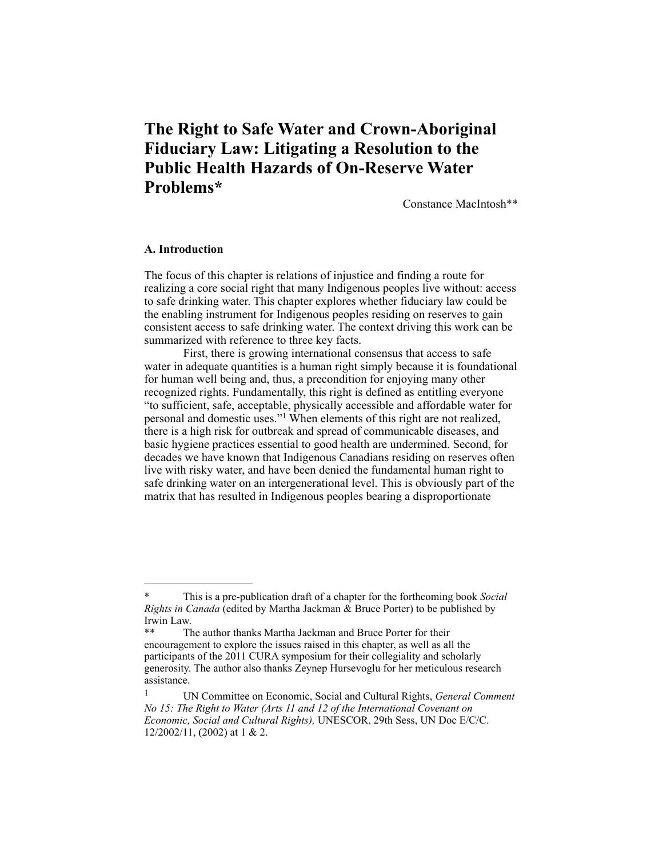# **The Right to Safe Water and Crown-Aboriginal Fiduciary Law: Litigating a Resolution to the Public Health Hazards of On-Reserve Water Problems\***

Constance MacIntosh\*\*

# **A. Introduction**

The focus of this chapter is relations of injustice and finding a route for realizing a core social right that many Indigenous peoples live without: access to safe drinking water. This chapter explores whether fiduciary law could be the enabling instrument for Indigenous peoples residing on reserves to gain consistent access to safe drinking water. The context driving this work can be summarized with reference to three key facts.

First, there is growing international consensus that access to safe water in adequate quantities is a human right simply because it is foundational for human well being and, thus, a precondition for enjoying many other recognized rights. Fundamentally, this right is defined as entitling everyone "to sufficient, safe, acceptable, physically accessible and affordable water for personal and domestic uses."<sup>1</sup> When elements of this right are not realized, there is a high risk for outbreak and spread of communicable diseases, and basic hygiene practices essential to good health are undermined. Second, for decades we have known that Indigenous Canadians residing on reserves often live with risky water, and have been denied the fundamental human right to safe drinking water on an intergenerational level. This is obviously part of the matrix that has resulted in Indigenous peoples bearing a disproportionate

<sup>\*</sup> This is a pre-publication draft of a chapter for the forthcoming book *Social Rights in Canada* (edited by Martha Jackman & Bruce Porter) to be published by Irwin Law.

The author thanks Martha Jackman and Bruce Porter for their encouragement to explore the issues raised in this chapter, as well as all the participants of the 2011 CURA symposium for their collegiality and scholarly generosity. The author also thanks Zeynep Hursevoglu for her meticulous research assistance.

UN Committee on Economic, Social and Cultural Rights, *General Comment* <sup>1</sup> *No 15: The Right to Water (Arts 11 and 12 of the International Covenant on Economic, Social and Cultural Rights),* UNESCOR, 29th Sess, UN Doc E/C/C. 12/2002/11, (2002) at 1 & 2.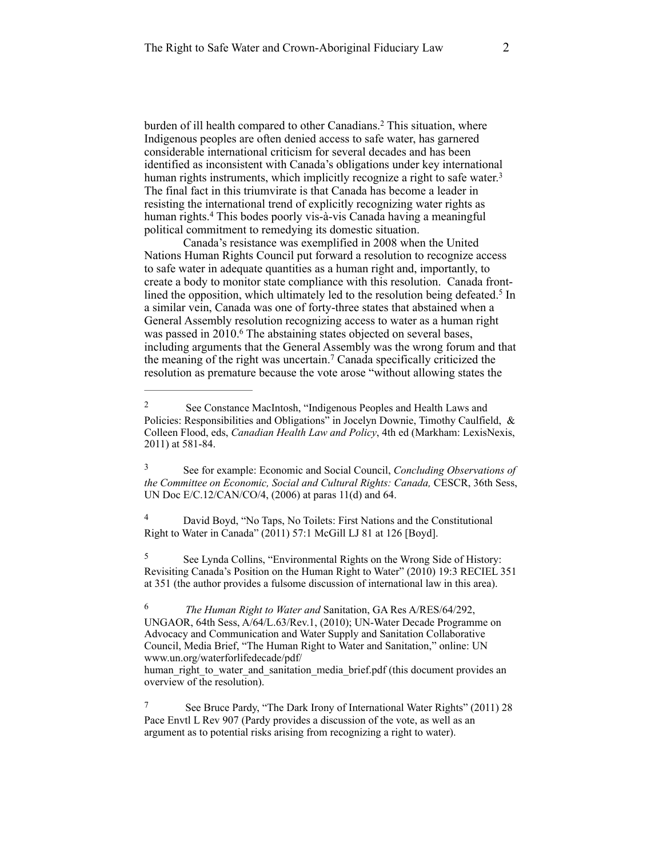burden of ill health compared to other Canadians.<sup>2</sup> This situation, where Indigenous peoples are often denied access to safe water, has garnered considerable international criticism for several decades and has been identified as inconsistent with Canada's obligations under key international human rights instruments, which implicitly recognize a right to safe water.<sup>3</sup> The final fact in this triumvirate is that Canada has become a leader in resisting the international trend of explicitly recognizing water rights as human rights.<sup>4</sup> This bodes poorly vis-à-vis Canada having a meaningful political commitment to remedying its domestic situation.

Canada's resistance was exemplified in 2008 when the United Nations Human Rights Council put forward a resolution to recognize access to safe water in adequate quantities as a human right and, importantly, to create a body to monitor state compliance with this resolution. Canada frontlined the opposition, which ultimately led to the resolution being defeated.<sup>5</sup> In a similar vein, Canada was one of forty-three states that abstained when a General Assembly resolution recognizing access to water as a human right was passed in 2010.<sup>6</sup> The abstaining states objected on several bases, including arguments that the General Assembly was the wrong forum and that the meaning of the right was uncertain.<sup>7</sup> Canada specifically criticized the resolution as premature because the vote arose "without allowing states the

 David Boyd, "No Taps, No Toilets: First Nations and the Constitutional 4 Right to Water in Canada" (2011) 57:1 McGill LJ 81 at 126 [Boyd].

<sup>5</sup> See Lynda Collins, "Environmental Rights on the Wrong Side of History: Revisiting Canada's Position on the Human Right to Water" (2010) 19:3 RECIEL 351 at 351 (the author provides a fulsome discussion of international law in this area).

 *The Human Right to Water and* Sanitation, GA Res A/RES/64/292, 6 UNGAOR, 64th Sess, A/64/L.63/Rev.1, (2010); UN-Water Decade Programme on Advocacy and Communication and Water Supply and Sanitation Collaborative Council, Media Brief, "The Human Right to Water and Sanitation," online: UN www.un.org/waterforlifedecade/pdf/

human right to water and sanitation media brief.pdf (this document provides an overview of the resolution).

<sup>7</sup> See Bruce Pardy, "The Dark Irony of International Water Rights" (2011) 28 Pace Envtl L Rev 907 (Pardy provides a discussion of the vote, as well as an argument as to potential risks arising from recognizing a right to water).

See Constance MacIntosh, "Indigenous Peoples and Health Laws and 2 Policies: Responsibilities and Obligations" in Jocelyn Downie, Timothy Caulfield, & Colleen Flood, eds, *Canadian Health Law and Policy*, 4th ed (Markham: LexisNexis, 2011) at 581-84.

See for example: Economic and Social Council, *Concluding Observations of* <sup>3</sup> *the Committee on Economic, Social and Cultural Rights: Canada,* CESCR, 36th Sess, UN Doc E/C.12/CAN/CO/4, (2006) at paras 11(d) and 64.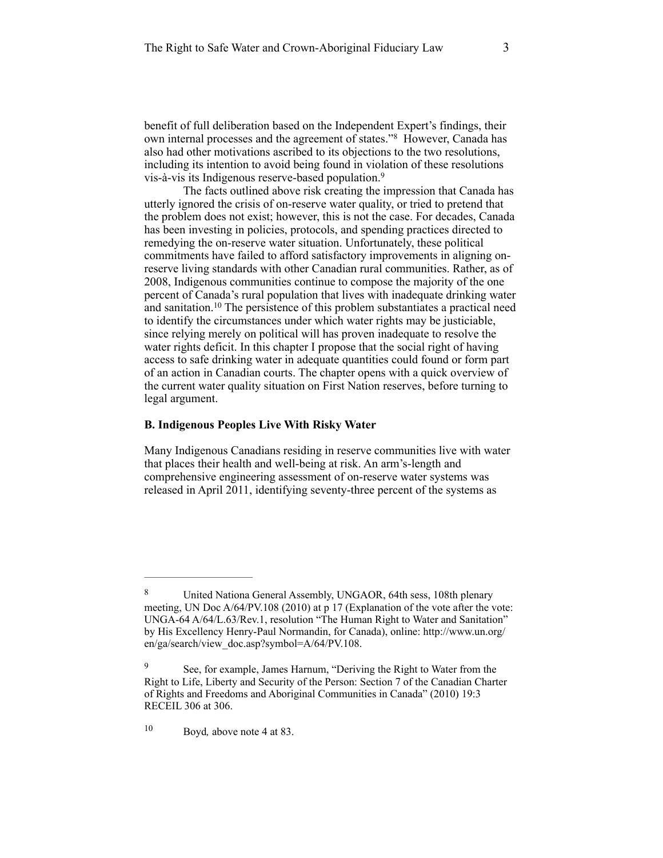benefit of full deliberation based on the Independent Expert's findings, their own internal processes and the agreement of states."<sup>8</sup> However, Canada has also had other motivations ascribed to its objections to the two resolutions, including its intention to avoid being found in violation of these resolutions vis-à-vis its Indigenous reserve-based population. 9

The facts outlined above risk creating the impression that Canada has utterly ignored the crisis of on-reserve water quality, or tried to pretend that the problem does not exist; however, this is not the case. For decades, Canada has been investing in policies, protocols, and spending practices directed to remedying the on-reserve water situation. Unfortunately, these political commitments have failed to afford satisfactory improvements in aligning onreserve living standards with other Canadian rural communities. Rather, as of 2008, Indigenous communities continue to compose the majority of the one percent of Canada's rural population that lives with inadequate drinking water and sanitation.<sup>10</sup> The persistence of this problem substantiates a practical need to identify the circumstances under which water rights may be justiciable, since relying merely on political will has proven inadequate to resolve the water rights deficit. In this chapter I propose that the social right of having access to safe drinking water in adequate quantities could found or form part of an action in Canadian courts. The chapter opens with a quick overview of the current water quality situation on First Nation reserves, before turning to legal argument.

## **B. Indigenous Peoples Live With Risky Water**

Many Indigenous Canadians residing in reserve communities live with water that places their health and well-being at risk. An arm's-length and comprehensive engineering assessment of on-reserve water systems was released in April 2011, identifying seventy-three percent of the systems as

<sup>8</sup> United Nationa General Assembly, UNGAOR, 64th sess, 108th plenary meeting, UN Doc A/64/PV.108 (2010) at p 17 (Explanation of the vote after the vote: UNGA-64 A/64/L.63/Rev.1, resolution "The Human Right to Water and Sanitation" [by His Excellency Henry-Paul Normandin, for Canada\), online: http://www.un.org/](http://www.un.org/en/ga/search/view_doc.asp?symbol=A/64/PV.108) en/ga/search/view\_doc.asp?symbol=A/64/PV.108.

<sup>&</sup>lt;sup>9</sup> See, for example, James Harnum, "Deriving the Right to Water from the Right to Life, Liberty and Security of the Person: Section 7 of the Canadian Charter of Rights and Freedoms and Aboriginal Communities in Canada" (2010) 19:3 RECEIL 306 at 306.

<sup>&</sup>lt;sup>10</sup> Boyd, above note 4 at 83.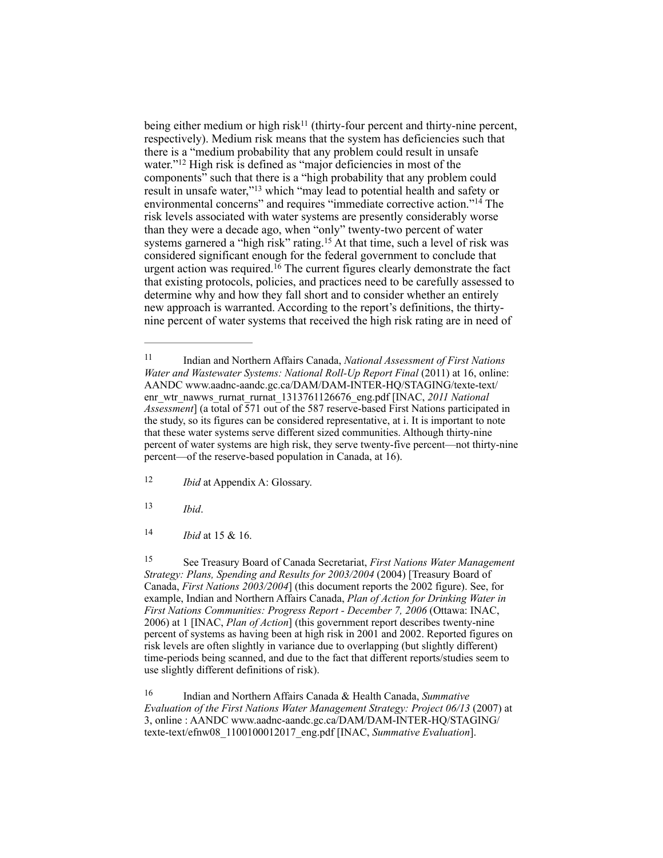being either medium or high risk<sup>11</sup> (thirty-four percent and thirty-nine percent, respectively). Medium risk means that the system has deficiencies such that there is a "medium probability that any problem could result in unsafe water." $12$  High risk is defined as "major deficiencies in most of the components" such that there is a "high probability that any problem could result in unsafe water,"<sup>13</sup> which "may lead to potential health and safety or environmental concerns" and requires "immediate corrective action."<sup>14</sup> The risk levels associated with water systems are presently considerably worse than they were a decade ago, when "only" twenty-two percent of water systems garnered a "high risk" rating.<sup>15</sup> At that time, such a level of risk was considered significant enough for the federal government to conclude that urgent action was required.  $16$  The current figures clearly demonstrate the fact that existing protocols, policies, and practices need to be carefully assessed to determine why and how they fall short and to consider whether an entirely new approach is warranted. According to the report's definitions, the thirtynine percent of water systems that received the high risk rating are in need of

<sup>12</sup> *Ibid* at Appendix A: Glossary.

 $13$  *Ibid.* 

14 *Ibid* at 15 & 16.

 See Treasury Board of Canada Secretariat, *First Nations Water Management* <sup>15</sup> *Strategy: Plans, Spending and Results for 2003/2004* (2004) [Treasury Board of Canada, *First Nations 2003/2004*] (this document reports the 2002 figure). See, for example, Indian and Northern Affairs Canada, *Plan of Action for Drinking Water in First Nations Communities: Progress Report - December 7, 2006* (Ottawa: INAC, 2006) at 1 [INAC, *Plan of Action*] (this government report describes twenty-nine percent of systems as having been at high risk in 2001 and 2002. Reported figures on risk levels are often slightly in variance due to overlapping (but slightly different) time-periods being scanned, and due to the fact that different reports/studies seem to use slightly different definitions of risk).

 Indian and Northern Affairs Canada & Health Canada, *Summative* <sup>16</sup> *Evaluation of the First Nations Water Management Strategy: Project 06/13* (2007) at [3, online : AANDC www.aadnc-aandc.gc.ca/DAM/DAM-INTER-HQ/STAGING/](http://www.aadnc-aandc.gc.ca/dam/dam-inter-hq/staging/texte-text/efnw08_1100100012017_eng.pdf) texte-text/efnw08\_1100100012017\_eng.pdf [INAC, *Summative Evaluation*].

Indian and Northern Affairs Canada, *National Assessment of First Nations* <sup>11</sup> *Water and Wastewater Systems: National Roll-Up Report Final (2011) at 16, online:* [AANDC www.aadnc-aandc.gc.ca/DAM/DAM-INTER-HQ/STAGING/texte-text/](http://www.aadnc-aandc.gc.ca/dam/dam-inter-hq/staging/texte-text/enr_wtr_nawws_rurnat_rurnat_1313761126676_eng.pdf) enr\_wtr\_nawws\_rurnat\_rurnat\_1313761126676\_eng.pdf [INAC, 2011 National *Assessment*] (a total of 571 out of the 587 reserve-based First Nations participated in the study, so its figures can be considered representative, at i. It is important to note that these water systems serve different sized communities. Although thirty-nine percent of water systems are high risk, they serve twenty-five percent—not thirty-nine percent—of the reserve-based population in Canada, at 16).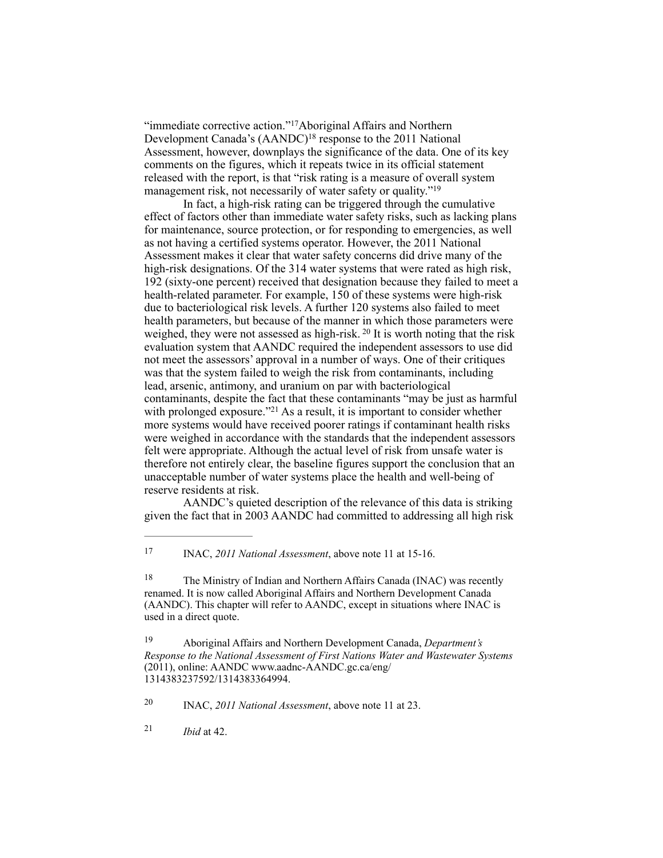"immediate corrective action."<sup>17</sup>Aboriginal Affairs and Northern Development Canada's  $(AANDC)^{18}$  response to the 2011 National Assessment, however, downplays the significance of the data. One of its key comments on the figures, which it repeats twice in its official statement released with the report, is that "risk rating is a measure of overall system management risk, not necessarily of water safety or quality."<sup>19</sup>

In fact, a high-risk rating can be triggered through the cumulative effect of factors other than immediate water safety risks, such as lacking plans for maintenance, source protection, or for responding to emergencies, as well as not having a certified systems operator. However, the 2011 National Assessment makes it clear that water safety concerns did drive many of the high-risk designations. Of the 314 water systems that were rated as high risk, 192 (sixty-one percent) received that designation because they failed to meet a health-related parameter. For example, 150 of these systems were high-risk due to bacteriological risk levels. A further 120 systems also failed to meet health parameters, but because of the manner in which those parameters were weighed, they were not assessed as high-risk.<sup>20</sup> It is worth noting that the risk evaluation system that AANDC required the independent assessors to use did not meet the assessors' approval in a number of ways. One of their critiques was that the system failed to weigh the risk from contaminants, including lead, arsenic, antimony, and uranium on par with bacteriological contaminants, despite the fact that these contaminants "may be just as harmful with prolonged exposure."<sup>21</sup> As a result, it is important to consider whether more systems would have received poorer ratings if contaminant health risks were weighed in accordance with the standards that the independent assessors felt were appropriate. Although the actual level of risk from unsafe water is therefore not entirely clear, the baseline figures support the conclusion that an unacceptable number of water systems place the health and well-being of reserve residents at risk.

AANDC's quieted description of the relevance of this data is striking given the fact that in 2003 AANDC had committed to addressing all high risk

<sup>18</sup> The Ministry of Indian and Northern Affairs Canada (INAC) was recently renamed. It is now called Aboriginal Affairs and Northern Development Canada (AANDC). This chapter will refer to AANDC, except in situations where INAC is used in a direct quote.

INAC, *2011 National Assessment*, above note 11 at 23. <sup>20</sup>

 $21$  *Ibid* at 42.

<sup>&</sup>lt;sup>17</sup> INAC, *2011 National Assessment*, above note 11 at 15-16.

Aboriginal Affairs and Northern Development Canada, *Department's* <sup>19</sup> *Response to the National Assessment of First Nations Water and Wastewater Systems* (2011), online: AANDC www.aadnc-AANDC.gc.ca/eng/ 1314383237592/1314383364994.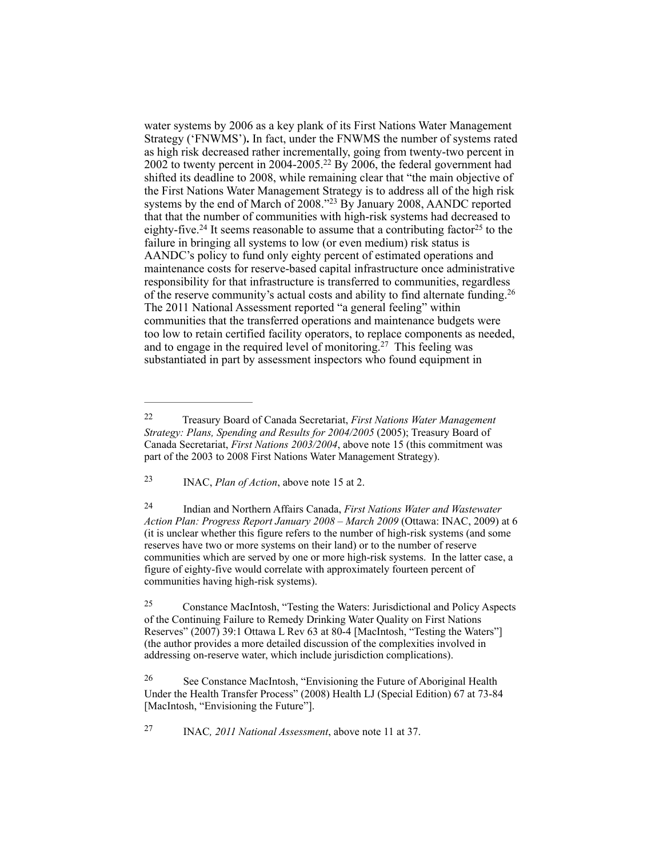water systems by 2006 as a key plank of its First Nations Water Management Strategy ('FNWMS')**.** In fact, under the FNWMS the number of systems rated as high risk decreased rather incrementally, going from twenty-two percent in 2002 to twenty percent in 2004-2005.<sup>22</sup> By 2006, the federal government had shifted its deadline to 2008, while remaining clear that "the main objective of the First Nations Water Management Strategy is to address all of the high risk systems by the end of March of 2008."<sup>23</sup> By January 2008, AANDC reported that that the number of communities with high-risk systems had decreased to eighty-five.<sup>24</sup> It seems reasonable to assume that a contributing factor<sup>25</sup> to the failure in bringing all systems to low (or even medium) risk status is AANDC's policy to fund only eighty percent of estimated operations and maintenance costs for reserve-based capital infrastructure once administrative responsibility for that infrastructure is transferred to communities, regardless of the reserve community's actual costs and ability to find alternate funding.<sup>26</sup> The 2011 National Assessment reported "a general feeling" within communities that the transferred operations and maintenance budgets were too low to retain certified facility operators, to replace components as needed, and to engage in the required level of monitoring.<sup>27</sup> This feeling was substantiated in part by assessment inspectors who found equipment in

<sup>23</sup> INAC, *Plan of Action*, above note 15 at 2.

 Indian and Northern Affairs Canada, *First Nations Water and Wastewater* <sup>24</sup> *Action Plan: Progress Report January 2008 – March 2009* (Ottawa: INAC, 2009) at 6 (it is unclear whether this figure refers to the number of high-risk systems (and some reserves have two or more systems on their land) or to the number of reserve communities which are served by one or more high-risk systems. In the latter case, a figure of eighty-five would correlate with approximately fourteen percent of communities having high-risk systems).

 Constance MacIntosh, "Testing the Waters: Jurisdictional and Policy Aspects 25 of the Continuing Failure to Remedy Drinking Water Quality on First Nations Reserves" (2007) 39:1 Ottawa L Rev 63 at 80-4 [MacIntosh, "Testing the Waters"] (the author provides a more detailed discussion of the complexities involved in addressing on-reserve water, which include jurisdiction complications).

<sup>26</sup> See Constance MacIntosh, "Envisioning the Future of Aboriginal Health Under the Health Transfer Process" (2008) Health LJ (Special Edition) 67 at 73-84 [MacIntosh, "Envisioning the Future"].

INAC*, 2011 National Assessment*, above note 11 at 37. <sup>27</sup>

Treasury Board of Canada Secretariat, *First Nations Water Management* <sup>22</sup> *Strategy: Plans, Spending and Results for 2004/2005* (2005); Treasury Board of Canada Secretariat, *First Nations 2003/2004*, above note 15 (this commitment was part of the 2003 to 2008 First Nations Water Management Strategy).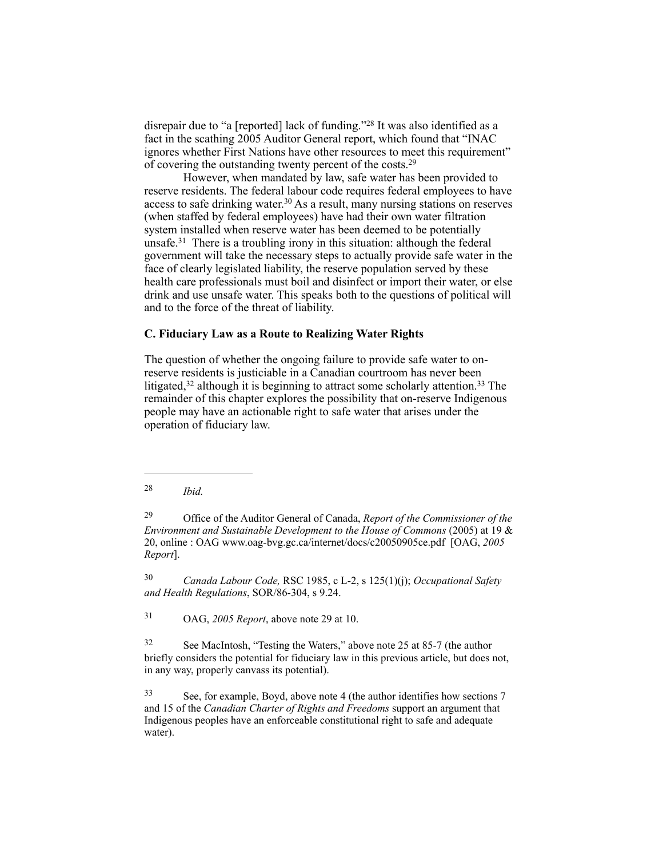disrepair due to "a [reported] lack of funding."<sup>28</sup> It was also identified as a fact in the scathing 2005 Auditor General report, which found that "INAC ignores whether First Nations have other resources to meet this requirement" of covering the outstanding twenty percent of the costs.29

However, when mandated by law, safe water has been provided to reserve residents. The federal labour code requires federal employees to have access to safe drinking water.<sup>30</sup> As a result, many nursing stations on reserves (when staffed by federal employees) have had their own water filtration system installed when reserve water has been deemed to be potentially unsafe.<sup>31</sup> There is a troubling irony in this situation: although the federal government will take the necessary steps to actually provide safe water in the face of clearly legislated liability, the reserve population served by these health care professionals must boil and disinfect or import their water, or else drink and use unsafe water. This speaks both to the questions of political will and to the force of the threat of liability.

# **C. Fiduciary Law as a Route to Realizing Water Rights**

The question of whether the ongoing failure to provide safe water to onreserve residents is justiciable in a Canadian courtroom has never been litigated,  $32$  although it is beginning to attract some scholarly attention.  $33$  The remainder of this chapter explores the possibility that on-reserve Indigenous people may have an actionable right to safe water that arises under the operation of fiduciary law.

*Ibid.* <sup>28</sup>

 Office of the Auditor General of Canada, *Report of the Commissioner of the* <sup>29</sup> *Environment and Sustainable Development to the House of Commons* (2005) at 19 & 20, online : OAG [www.oag-bvg.gc.ca/internet/docs/c20050905ce.pdf](http://www.oag-bvg.gc.ca/internet/docs/c20050905ce.pdf) [OAG, *2005 Report*].

 *Canada Labour Code,* RSC 1985, c L-2, s 125(1)(j); *Occupational Safety* <sup>30</sup> *and Health Regulations*, SOR/86-304, s 9.24.

<sup>31</sup> OAG, *2005 Report*, above note 29 at 10.

 See MacIntosh, "Testing the Waters," above note 25 at 85-7 (the author 32 briefly considers the potential for fiduciary law in this previous article, but does not, in any way, properly canvass its potential).

 See, for example, Boyd, above note 4 (the author identifies how sections 7 33 and 15 of the *Canadian Charter of Rights and Freedoms* support an argument that Indigenous peoples have an enforceable constitutional right to safe and adequate water).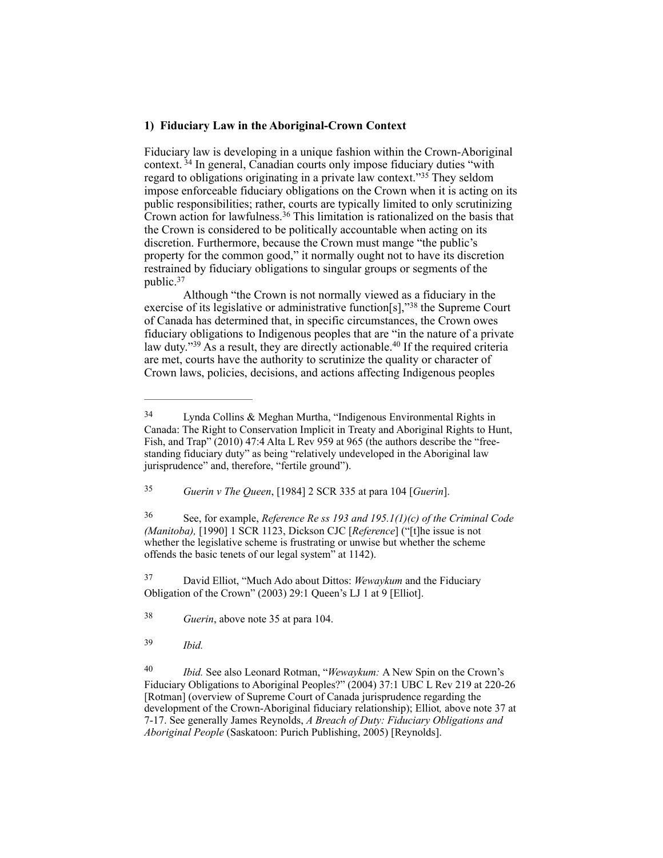#### **1) Fiduciary Law in the Aboriginal-Crown Context**

Fiduciary law is developing in a unique fashion within the Crown-Aboriginal context.  $34$  In general, Canadian courts only impose fiduciary duties "with regard to obligations originating in a private law context."<sup>35</sup> They seldom impose enforceable fiduciary obligations on the Crown when it is acting on its public responsibilities; rather, courts are typically limited to only scrutinizing Crown action for lawfulness.<sup>36</sup> This limitation is rationalized on the basis that the Crown is considered to be politically accountable when acting on its discretion. Furthermore, because the Crown must mange "the public's property for the common good," it normally ought not to have its discretion restrained by fiduciary obligations to singular groups or segments of the public.<sup>37</sup>

Although "the Crown is not normally viewed as a fiduciary in the exercise of its legislative or administrative function[s],"<sup>38</sup> the Supreme Court of Canada has determined that, in specific circumstances, the Crown owes fiduciary obligations to Indigenous peoples that are "in the nature of a private law duty." $39$  As a result, they are directly actionable. $40$  If the required criteria are met, courts have the authority to scrutinize the quality or character of Crown laws, policies, decisions, and actions affecting Indigenous peoples

 See, for example, *Reference Re ss 193 and 195.1(1)(c) of the Criminal Code* <sup>36</sup> *(Manitoba),* [1990] 1 SCR 1123, Dickson CJC [*Reference*] ("[t]he issue is not whether the legislative scheme is frustrating or unwise but whether the scheme offends the basic tenets of our legal system" at 1142).

 David Elliot, "Much Ado about Dittos: *Wewaykum* and the Fiduciary 37 Obligation of the Crown" (2003) 29:1 Queen's LJ 1 at 9 [Elliot].

<sup>38</sup> *Guerin*, above note 35 at para 104.

*Ibid.* <sup>39</sup>

<sup>40</sup> *Ibid.* See also Leonard Rotman, "*Wewaykum:* A New Spin on the Crown's Fiduciary Obligations to Aboriginal Peoples?" (2004) 37:1 UBC L Rev 219 at 220-26 [Rotman] (overview of Supreme Court of Canada jurisprudence regarding the development of the Crown-Aboriginal fiduciary relationship); Elliot*,* above note 37 at 7-17. See generally James Reynolds, *A Breach of Duty: Fiduciary Obligations and Aboriginal People* (Saskatoon: Purich Publishing, 2005) [Reynolds].

Lynda Collins & Meghan Murtha, "Indigenous Environmental Rights in 34 Canada: The Right to Conservation Implicit in Treaty and Aboriginal Rights to Hunt, Fish, and Trap" (2010) 47:4 Alta L Rev 959 at 965 (the authors describe the "freestanding fiduciary duty" as being "relatively undeveloped in the Aboriginal law jurisprudence" and, therefore, "fertile ground").

*Guerin v The Queen*, [1984] 2 SCR 335 at para 104 [*Guerin*]. <sup>35</sup>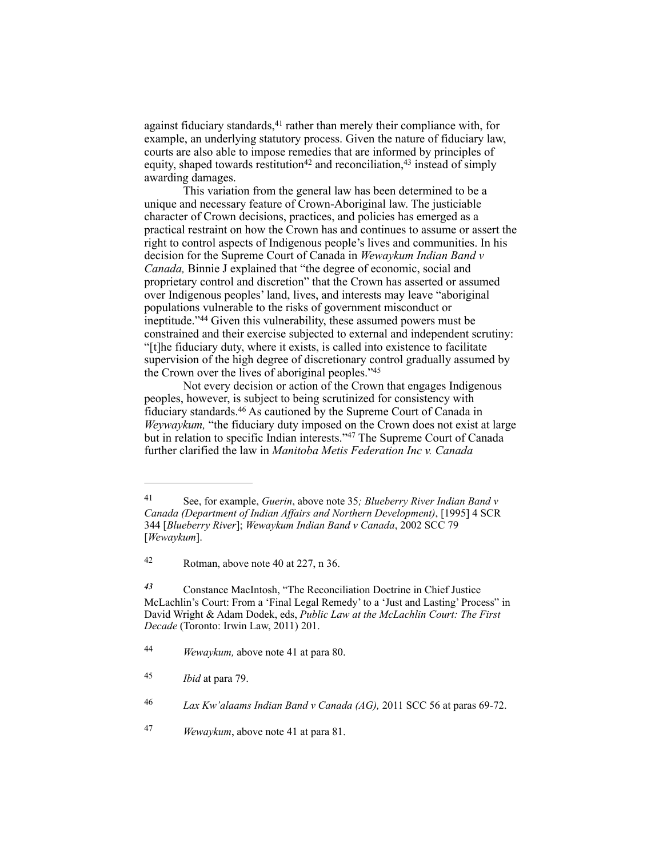against fiduciary standards, $41$  rather than merely their compliance with, for example, an underlying statutory process. Given the nature of fiduciary law, courts are also able to impose remedies that are informed by principles of equity, shaped towards restitution<sup>42</sup> and reconciliation,  $43$  instead of simply awarding damages.

This variation from the general law has been determined to be a unique and necessary feature of Crown-Aboriginal law. The justiciable character of Crown decisions, practices, and policies has emerged as a practical restraint on how the Crown has and continues to assume or assert the right to control aspects of Indigenous people's lives and communities. In his decision for the Supreme Court of Canada in *Wewaykum Indian Band v Canada,* Binnie J explained that "the degree of economic, social and proprietary control and discretion" that the Crown has asserted or assumed over Indigenous peoples' land, lives, and interests may leave "aboriginal populations vulnerable to the risks of government misconduct or ineptitude."<sup>44</sup> Given this vulnerability, these assumed powers must be constrained and their exercise subjected to external and independent scrutiny: "[t]he fiduciary duty, where it exists, is called into existence to facilitate supervision of the high degree of discretionary control gradually assumed by the Crown over the lives of aboriginal peoples."45

Not every decision or action of the Crown that engages Indigenous peoples, however, is subject to being scrutinized for consistency with fiduciary standards.<sup>46</sup> As cautioned by the Supreme Court of Canada in *Weywaykum,* "the fiduciary duty imposed on the Crown does not exist at large but in relation to specific Indian interests."<sup>47</sup> The Supreme Court of Canada further clarified the law in *Manitoba Metis Federation Inc v. Canada* 

See, for example, *Guerin*, above note 35*; Blueberry River Indian Band v* <sup>41</sup> *Canada (Department of Indian Affairs and Northern Development)*, [1995] 4 SCR 344 [*Blueberry River*]; *Wewaykum Indian Band v Canada*, 2002 SCC 79 [*Wewaykum*].

 $42$  Rotman, above note 40 at 227, n 36.

Constance MacIntosh, "The Reconciliation Doctrine in Chief Justice *<sup>43</sup>* McLachlin's Court: From a 'Final Legal Remedy' to a 'Just and Lasting' Process" in David Wright & Adam Dodek, eds, *Public Law at the McLachlin Court: The First Decade* (Toronto: Irwin Law, 2011) 201.

*Wewaykum,* above note 41 at para 80. <sup>44</sup>

*Ibid* at para 79. <sup>45</sup>

*Lax Kw'alaams Indian Band v Canada (AG),* 2011 SCC 56 at paras 69-72. <sup>46</sup>

*Wewaykum*, above note 41 at para 81. <sup>47</sup>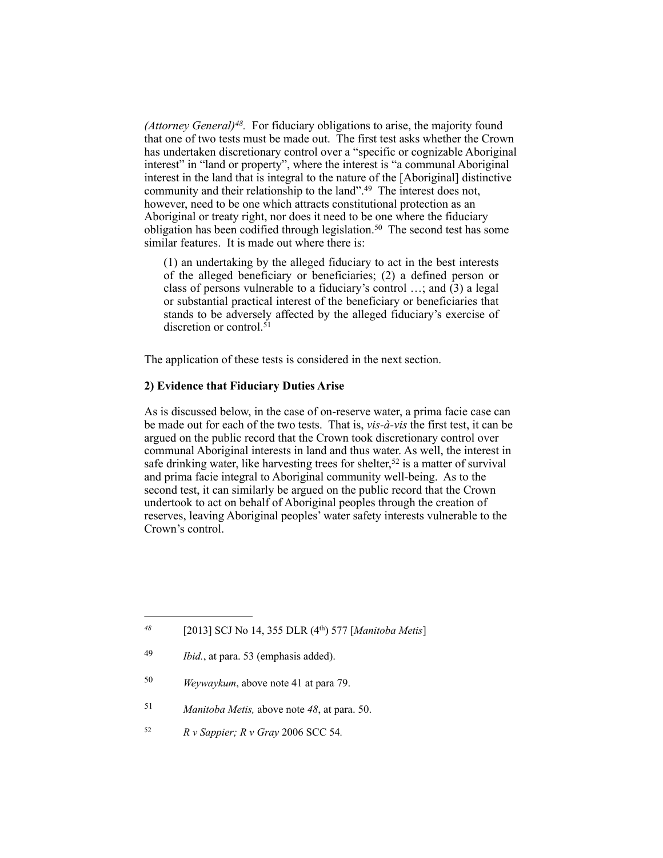*(Attorney General)*<sup> $48$ </sup>. For fiduciary obligations to arise, the majority found that one of two tests must be made out. The first test asks whether the Crown has undertaken discretionary control over a "specific or cognizable Aboriginal interest" in "land or property", where the interest is "a communal Aboriginal interest in the land that is integral to the nature of the [Aboriginal] distinctive community and their relationship to the land".<sup>49</sup> The interest does not, however, need to be one which attracts constitutional protection as an Aboriginal or treaty right, nor does it need to be one where the fiduciary obligation has been codified through legislation.<sup>50</sup> The second test has some similar features. It is made out where there is:

(1) an undertaking by the alleged fiduciary to act in the best interests of the alleged beneficiary or beneficiaries; (2) a defined person or class of persons vulnerable to a fiduciary's control …; and (3) a legal or substantial practical interest of the beneficiary or beneficiaries that stands to be adversely affected by the alleged fiduciary's exercise of discretion or control.<sup>51</sup>

The application of these tests is considered in the next section.

# **2) Evidence that Fiduciary Duties Arise**

As is discussed below, in the case of on-reserve water, a prima facie case can be made out for each of the two tests. That is, *vis-à-vis* the first test, it can be argued on the public record that the Crown took discretionary control over communal Aboriginal interests in land and thus water. As well, the interest in safe drinking water, like harvesting trees for shelter,<sup>52</sup> is a matter of survival and prima facie integral to Aboriginal community well-being. As to the second test, it can similarly be argued on the public record that the Crown undertook to act on behalf of Aboriginal peoples through the creation of reserves, leaving Aboriginal peoples' water safety interests vulnerable to the Crown's control.

- <sup>51</sup> *Manitoba Metis, above note 48, at para.* 50.
- *R v Sappier; R v Gray 2006 SCC 54.*

 <sup>[2013]</sup> SCJ No 14, 355 DLR (4th) 577 [*Manitoba Metis*] *<sup>48</sup>*

*Ibid.*, at para. 53 (emphasis added). <sup>49</sup>

<sup>&</sup>lt;sup>50</sup> *Weywaykum*, above note 41 at para 79.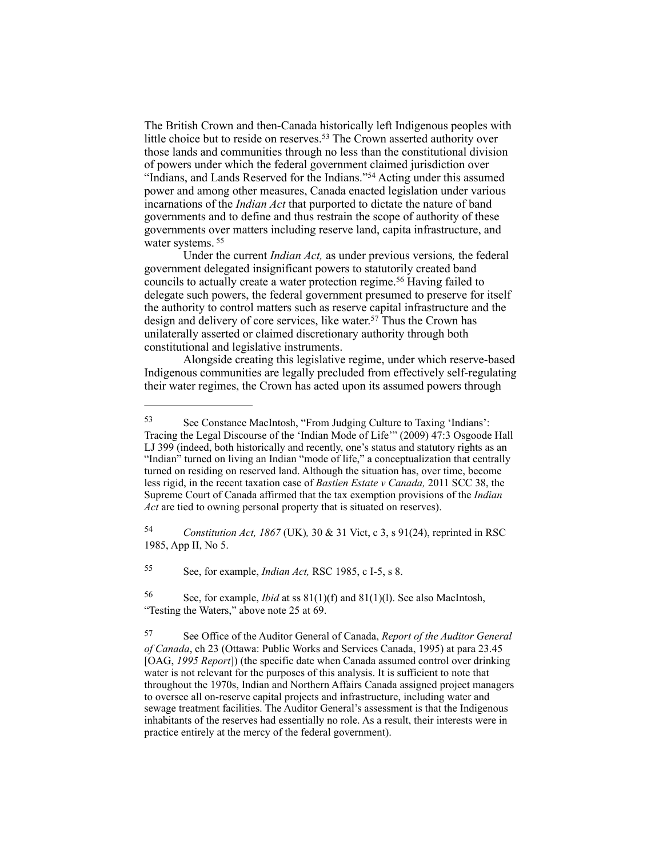The British Crown and then-Canada historically left Indigenous peoples with little choice but to reside on reserves.<sup>53</sup> The Crown asserted authority over those lands and communities through no less than the constitutional division of powers under which the federal government claimed jurisdiction over "Indians, and Lands Reserved for the Indians."<sup>54</sup> Acting under this assumed power and among other measures, Canada enacted legislation under various incarnations of the *Indian Act* that purported to dictate the nature of band governments and to define and thus restrain the scope of authority of these governments over matters including reserve land, capita infrastructure, and water systems.<sup>55</sup>

Under the current *Indian Act,* as under previous versions*,* the federal government delegated insignificant powers to statutorily created band councils to actually create a water protection regime.<sup>56</sup> Having failed to delegate such powers, the federal government presumed to preserve for itself the authority to control matters such as reserve capital infrastructure and the design and delivery of core services, like water.<sup>57</sup> Thus the Crown has unilaterally asserted or claimed discretionary authority through both constitutional and legislative instruments.

Alongside creating this legislative regime, under which reserve-based Indigenous communities are legally precluded from effectively self-regulating their water regimes, the Crown has acted upon its assumed powers through

 *Constitution Act, 1867* (UK)*,* 30 & 31 Vict, c 3, s 91(24), reprinted in RSC 54 1985, App II, No 5.

See, for example, *Indian Act*, RSC 1985, c I-5, s 8.

 See, for example, *Ibid* at ss 81(1)(f) and 81(1)(l). See also MacIntosh, 56 "Testing the Waters," above note 25 at 69.

<sup>53</sup> See Constance MacIntosh, "From Judging Culture to Taxing 'Indians': Tracing the Legal Discourse of the 'Indian Mode of Life'" (2009) 47:3 Osgoode Hall LJ 399 (indeed, both historically and recently, one's status and statutory rights as an "Indian" turned on living an Indian "mode of life," a conceptualization that centrally turned on residing on reserved land. Although the situation has, over time, become less rigid, in the recent taxation case of *Bastien Estate v Canada,* 2011 SCC 38, the Supreme Court of Canada affirmed that the tax exemption provisions of the *Indian Act* are tied to owning personal property that is situated on reserves).

See Office of the Auditor General of Canada, *Report of the Auditor General* <sup>57</sup> *of Canada*, ch 23 (Ottawa: Public Works and Services Canada, 1995) at para 23.45 [OAG, *1995 Report*]) (the specific date when Canada assumed control over drinking water is not relevant for the purposes of this analysis. It is sufficient to note that throughout the 1970s, Indian and Northern Affairs Canada assigned project managers to oversee all on-reserve capital projects and infrastructure, including water and sewage treatment facilities. The Auditor General's assessment is that the Indigenous inhabitants of the reserves had essentially no role. As a result, their interests were in practice entirely at the mercy of the federal government).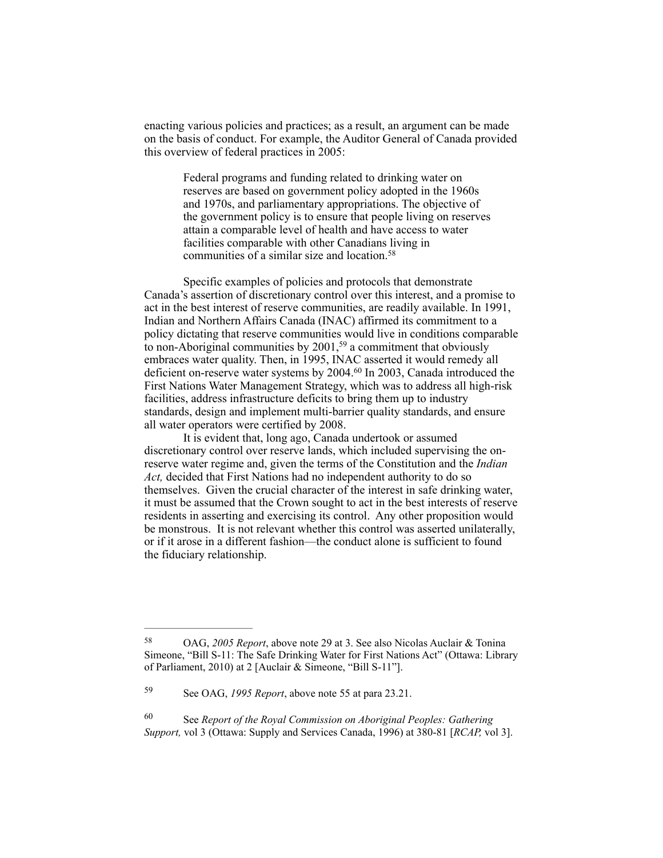enacting various policies and practices; as a result, an argument can be made on the basis of conduct. For example, the Auditor General of Canada provided this overview of federal practices in 2005:

> Federal programs and funding related to drinking water on reserves are based on government policy adopted in the 1960s and 1970s, and parliamentary appropriations. The objective of the government policy is to ensure that people living on reserves attain a comparable level of health and have access to water facilities comparable with other Canadians living in communities of a similar size and location.58

Specific examples of policies and protocols that demonstrate Canada's assertion of discretionary control over this interest, and a promise to act in the best interest of reserve communities, are readily available. In 1991, Indian and Northern Affairs Canada (INAC) affirmed its commitment to a policy dictating that reserve communities would live in conditions comparable to non-Aboriginal communities by  $2001$ ,<sup>59</sup> a commitment that obviously embraces water quality. Then, in 1995, INAC asserted it would remedy all deficient on-reserve water systems by 2004.<sup>60</sup> In 2003, Canada introduced the First Nations Water Management Strategy, which was to address all high-risk facilities, address infrastructure deficits to bring them up to industry standards, design and implement multi-barrier quality standards, and ensure all water operators were certified by 2008.

It is evident that, long ago, Canada undertook or assumed discretionary control over reserve lands, which included supervising the onreserve water regime and, given the terms of the Constitution and the *Indian Act,* decided that First Nations had no independent authority to do so themselves. Given the crucial character of the interest in safe drinking water, it must be assumed that the Crown sought to act in the best interests of reserve residents in asserting and exercising its control. Any other proposition would be monstrous. It is not relevant whether this control was asserted unilaterally, or if it arose in a different fashion—the conduct alone is sufficient to found the fiduciary relationship.

<sup>&</sup>lt;sup>58</sup> OAG, 2005 Report, above note 29 at 3. See also Nicolas Auclair & Tonina Simeone, "Bill S-11: The Safe Drinking Water for First Nations Act" (Ottawa: Library of Parliament, 2010) at 2 [Auclair & Simeone, "Bill S-11"].

See OAG, *1995 Report*, above note 55 at para 23.21. <sup>59</sup>

See *Report of the Royal Commission on Aboriginal Peoples: Gathering* <sup>60</sup> *Support,* vol 3 (Ottawa: Supply and Services Canada, 1996) at 380-81 [*RCAP,* vol 3].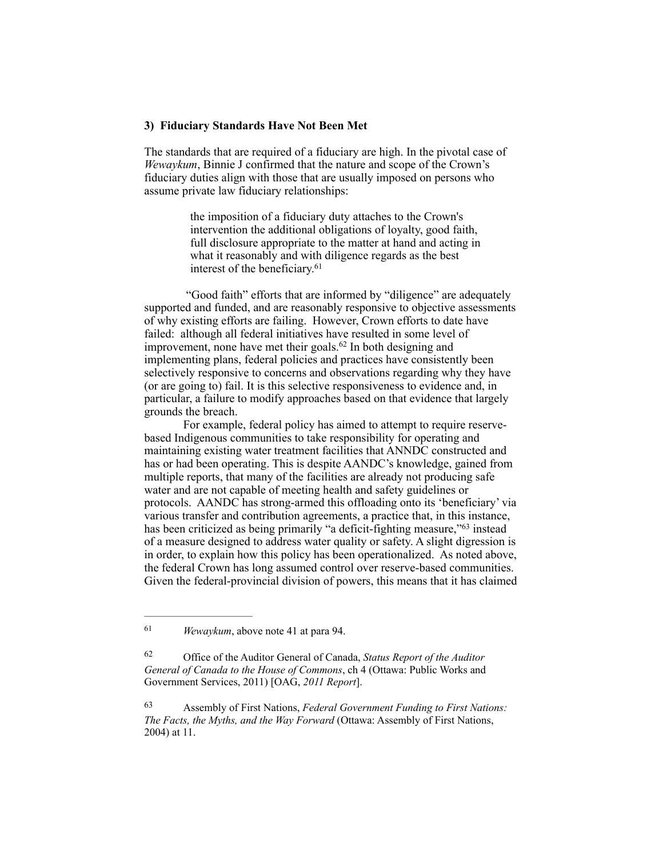#### **3) Fiduciary Standards Have Not Been Met**

The standards that are required of a fiduciary are high. In the pivotal case of *Wewaykum*, Binnie J confirmed that the nature and scope of the Crown's fiduciary duties align with those that are usually imposed on persons who assume private law fiduciary relationships:

> the imposition of a fiduciary duty attaches to the Crown's intervention the additional obligations of loyalty, good faith, full disclosure appropriate to the matter at hand and acting in what it reasonably and with diligence regards as the best interest of the beneficiary.<sup>61</sup>

 "Good faith" efforts that are informed by "diligence" are adequately supported and funded, and are reasonably responsive to objective assessments of why existing efforts are failing. However, Crown efforts to date have failed: although all federal initiatives have resulted in some level of improvement, none have met their goals.  $62$  In both designing and implementing plans, federal policies and practices have consistently been selectively responsive to concerns and observations regarding why they have (or are going to) fail. It is this selective responsiveness to evidence and, in particular, a failure to modify approaches based on that evidence that largely grounds the breach.

For example, federal policy has aimed to attempt to require reservebased Indigenous communities to take responsibility for operating and maintaining existing water treatment facilities that ANNDC constructed and has or had been operating. This is despite AANDC's knowledge, gained from multiple reports, that many of the facilities are already not producing safe water and are not capable of meeting health and safety guidelines or protocols. AANDC has strong-armed this offloading onto its 'beneficiary' via various transfer and contribution agreements, a practice that, in this instance, has been criticized as being primarily "a deficit-fighting measure,"<sup>63</sup> instead of a measure designed to address water quality or safety. A slight digression is in order, to explain how this policy has been operationalized. As noted above, the federal Crown has long assumed control over reserve-based communities. Given the federal-provincial division of powers, this means that it has claimed

<sup>&</sup>lt;sup>61</sup> *Wewaykum*, above note 41 at para 94.

Office of the Auditor General of Canada, *Status Report of the Auditor* <sup>62</sup> *General of Canada to the House of Commons*, ch 4 (Ottawa: Public Works and Government Services, 2011) [OAG, *2011 Report*].

Assembly of First Nations, *Federal Government Funding to First Nations:* <sup>63</sup> *The Facts, the Myths, and the Way Forward* (Ottawa: Assembly of First Nations, 2004) at 11.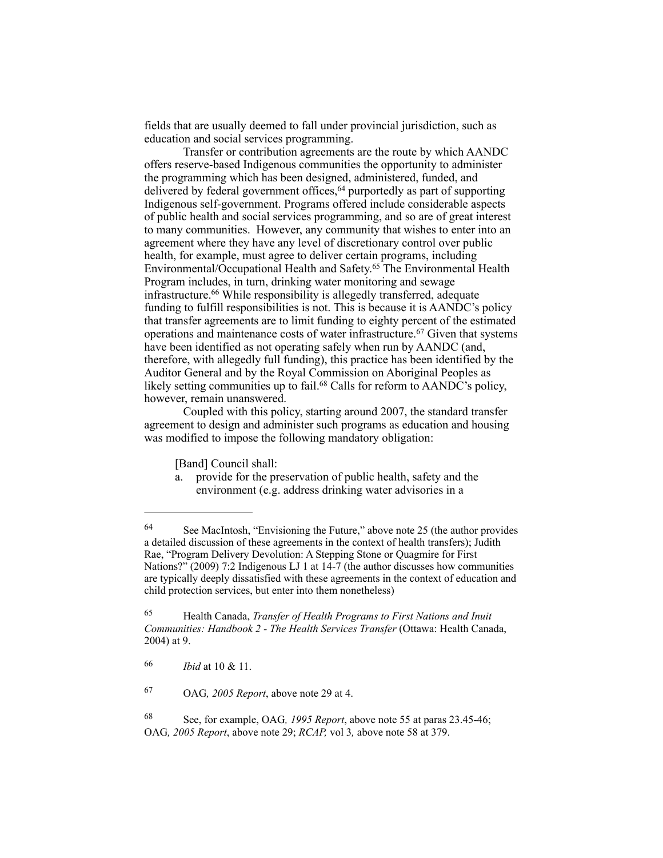fields that are usually deemed to fall under provincial jurisdiction, such as education and social services programming.

Transfer or contribution agreements are the route by which AANDC offers reserve-based Indigenous communities the opportunity to administer the programming which has been designed, administered, funded, and delivered by federal government offices,<sup>64</sup> purportedly as part of supporting Indigenous self-government. Programs offered include considerable aspects of public health and social services programming, and so are of great interest to many communities. However, any community that wishes to enter into an agreement where they have any level of discretionary control over public health, for example, must agree to deliver certain programs, including Environmental/Occupational Health and Safety.<sup>65</sup> The Environmental Health Program includes, in turn, drinking water monitoring and sewage infrastructure.<sup>66</sup> While responsibility is allegedly transferred, adequate funding to fulfill responsibilities is not. This is because it is AANDC's policy that transfer agreements are to limit funding to eighty percent of the estimated operations and maintenance costs of water infrastructure.<sup>67</sup> Given that systems have been identified as not operating safely when run by AANDC (and, therefore, with allegedly full funding), this practice has been identified by the Auditor General and by the Royal Commission on Aboriginal Peoples as likely setting communities up to fail.<sup>68</sup> Calls for reform to AANDC's policy, however, remain unanswered.

Coupled with this policy, starting around 2007, the standard transfer agreement to design and administer such programs as education and housing was modified to impose the following mandatory obligation:

[Band] Council shall:

a. provide for the preservation of public health, safety and the environment (e.g. address drinking water advisories in a

 Health Canada, *Transfer of Health Programs to First Nations and Inuit* <sup>65</sup> *Communities: Handbook 2 - The Health Services Transfer* (Ottawa: Health Canada, 2004) at 9.

OAG*, 2005 Report*, above note 29 at 4. <sup>67</sup>

 See, for example, OAG*, 1995 Report*, above note 55 at paras 23.45-46; 68 OAG*, 2005 Report*, above note 29; *RCAP,* vol 3*,* above note 58 at 379.

<sup>&</sup>lt;sup>64</sup> See MacIntosh, "Envisioning the Future," above note 25 (the author provides a detailed discussion of these agreements in the context of health transfers); Judith Rae, "Program Delivery Devolution: A Stepping Stone or Quagmire for First Nations?" (2009) 7:2 Indigenous LJ 1 at 14-7 (the author discusses how communities are typically deeply dissatisfied with these agreements in the context of education and child protection services, but enter into them nonetheless)

*Ibid* at 10 & 11. <sup>66</sup>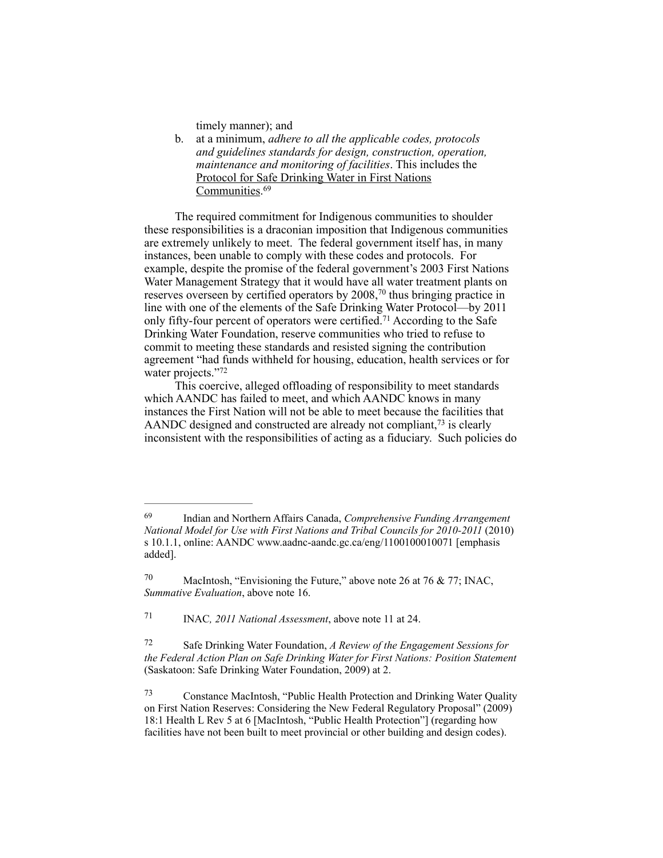timely manner); and

b. at a minimum, *adhere to all the applicable codes, protocols and guidelines standards for design, construction, operation, maintenance and monitoring of facilities*. This includes the Protocol for Safe Drinking Water in First Nations Communities.<sup>69</sup>

The required commitment for Indigenous communities to shoulder these responsibilities is a draconian imposition that Indigenous communities are extremely unlikely to meet. The federal government itself has, in many instances, been unable to comply with these codes and protocols. For example, despite the promise of the federal government's 2003 First Nations Water Management Strategy that it would have all water treatment plants on reserves overseen by certified operators by  $2008$ , <sup>70</sup> thus bringing practice in line with one of the elements of the Safe Drinking Water Protocol—by 2011 only fifty-four percent of operators were certified.<sup>71</sup> According to the Safe Drinking Water Foundation, reserve communities who tried to refuse to commit to meeting these standards and resisted signing the contribution agreement "had funds withheld for housing, education, health services or for water projects."72

This coercive, alleged offloading of responsibility to meet standards which AANDC has failed to meet, and which AANDC knows in many instances the First Nation will not be able to meet because the facilities that AANDC designed and constructed are already not compliant, $73$  is clearly inconsistent with the responsibilities of acting as a fiduciary. Such policies do

Indian and Northern Affairs Canada, *Comprehensive Funding Arrangement* <sup>69</sup> *National Model for Use with First Nations and Tribal Councils for 2010-2011* (2010) s 10.1.1, online: AANDC [www.aadnc-aandc.gc.ca/eng/1100100010071](http://www.aadnc-aandc.gc.ca/eng/1100100010071) [emphasis added].

<sup>&</sup>lt;sup>70</sup> MacIntosh, "Envisioning the Future," above note 26 at 76 & 77; INAC, *Summative Evaluation*, above note 16.

<sup>&</sup>lt;sup>71</sup> INAC, *2011 National Assessment*, above note 11 at 24.

Safe Drinking Water Foundation, *A Review of the Engagement Sessions for* <sup>72</sup> *the Federal Action Plan on Safe Drinking Water for First Nations: Position Statement* (Saskatoon: Safe Drinking Water Foundation, 2009) at 2.

Constance MacIntosh, "Public Health Protection and Drinking Water Quality 73 on First Nation Reserves: Considering the New Federal Regulatory Proposal" (2009) 18:1 Health L Rev 5 at 6 [MacIntosh, "Public Health Protection"] (regarding how facilities have not been built to meet provincial or other building and design codes).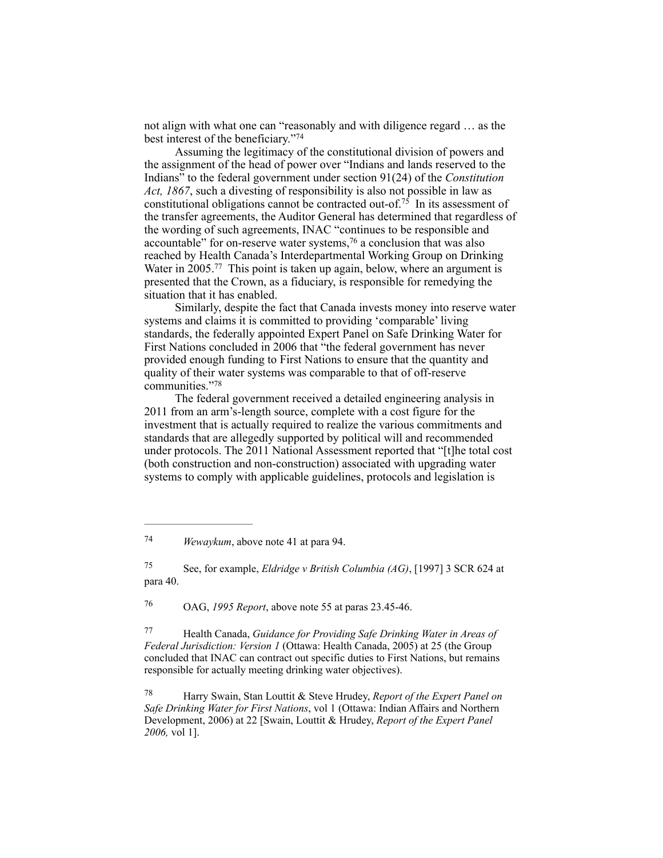not align with what one can "reasonably and with diligence regard … as the best interest of the beneficiary."<sup>74</sup>

Assuming the legitimacy of the constitutional division of powers and the assignment of the head of power over "Indians and lands reserved to the Indians" to the federal government under section 91(24) of the *Constitution Act, 1867*, such a divesting of responsibility is also not possible in law as constitutional obligations cannot be contracted out-of.<sup>75</sup> In its assessment of the transfer agreements, the Auditor General has determined that regardless of the wording of such agreements, INAC "continues to be responsible and accountable" for on-reserve water systems,  $76$  a conclusion that was also reached by Health Canada's Interdepartmental Working Group on Drinking Water in  $2005$ .<sup>77</sup> This point is taken up again, below, where an argument is presented that the Crown, as a fiduciary, is responsible for remedying the situation that it has enabled.

Similarly, despite the fact that Canada invests money into reserve water systems and claims it is committed to providing 'comparable' living standards, the federally appointed Expert Panel on Safe Drinking Water for First Nations concluded in 2006 that "the federal government has never provided enough funding to First Nations to ensure that the quantity and quality of their water systems was comparable to that of off-reserve communities."78

The federal government received a detailed engineering analysis in 2011 from an arm's-length source, complete with a cost figure for the investment that is actually required to realize the various commitments and standards that are allegedly supported by political will and recommended under protocols. The 2011 National Assessment reported that "[t]he total cost (both construction and non-construction) associated with upgrading water systems to comply with applicable guidelines, protocols and legislation is

OAG, *1995 Report*, above note 55 at paras 23.45-46. <sup>76</sup>

 Health Canada, *Guidance for Providing Safe Drinking Water in Areas of* <sup>77</sup> *Federal Jurisdiction: Version 1* (Ottawa: Health Canada, 2005) at 25 (the Group concluded that INAC can contract out specific duties to First Nations, but remains responsible for actually meeting drinking water objectives).

 Harry Swain, Stan Louttit & Steve Hrudey, *Report of the Expert Panel on* <sup>78</sup> *Safe Drinking Water for First Nations*, vol 1 (Ottawa: Indian Affairs and Northern Development, 2006) at 22 [Swain, Louttit & Hrudey, *Report of the Expert Panel 2006,* vol 1].

<sup>&</sup>lt;sup>74</sup> *Wewaykum*, above note 41 at para 94.

See, for example, *Eldridge v British Columbia (AG)*, [1997] 3 SCR 624 at 75 para 40.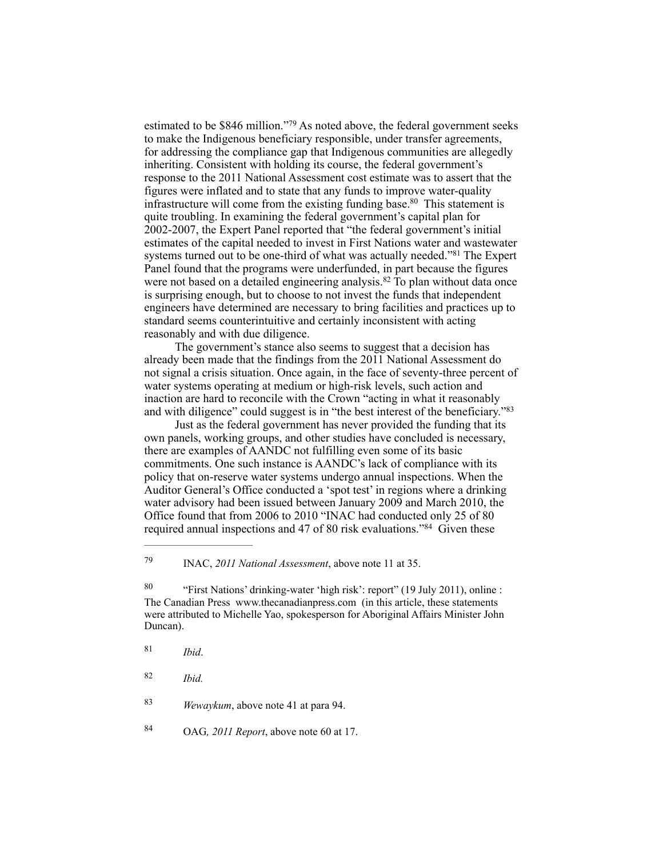estimated to be  $$846$  million."<sup>79</sup> As noted above, the federal government seeks to make the Indigenous beneficiary responsible, under transfer agreements, for addressing the compliance gap that Indigenous communities are allegedly inheriting. Consistent with holding its course, the federal government's response to the 2011 National Assessment cost estimate was to assert that the figures were inflated and to state that any funds to improve water-quality infrastructure will come from the existing funding base. <sup>80</sup> This statement is quite troubling. In examining the federal government's capital plan for 2002-2007, the Expert Panel reported that "the federal government's initial estimates of the capital needed to invest in First Nations water and wastewater systems turned out to be one-third of what was actually needed."<sup>81</sup> The Expert Panel found that the programs were underfunded, in part because the figures were not based on a detailed engineering analysis.<sup>82</sup> To plan without data once is surprising enough, but to choose to not invest the funds that independent engineers have determined are necessary to bring facilities and practices up to standard seems counterintuitive and certainly inconsistent with acting reasonably and with due diligence.

The government's stance also seems to suggest that a decision has already been made that the findings from the 2011 National Assessment do not signal a crisis situation. Once again, in the face of seventy-three percent of water systems operating at medium or high-risk levels, such action and inaction are hard to reconcile with the Crown "acting in what it reasonably and with diligence" could suggest is in "the best interest of the beneficiary."83

Just as the federal government has never provided the funding that its own panels, working groups, and other studies have concluded is necessary, there are examples of AANDC not fulfilling even some of its basic commitments. One such instance is AANDC's lack of compliance with its policy that on-reserve water systems undergo annual inspections. When the Auditor General's Office conducted a 'spot test' in regions where a drinking water advisory had been issued between January 2009 and March 2010, the Office found that from 2006 to 2010 "INAC had conducted only 25 of 80 required annual inspections and 47 of 80 risk evaluations."<sup>84</sup> Given these

*Ibid.* <sup>82</sup>

*Wewaykum*, above note 41 at para 94. <sup>83</sup>

OAG*, 2011 Report*, above note 60 at 17. <sup>84</sup>

INAC, *2011 National Assessment*, above note 11 at 35. <sup>79</sup>

<sup>&</sup>lt;sup>80</sup> "First Nations' drinking-water 'high risk': report'' (19 July 2011), online : The Canadian Press [www.thecanadianpress.com](http://www.thecanadianpress.com) (in this article, these statements were attributed to Michelle Yao, spokesperson for Aboriginal Affairs Minister John Duncan).

*Ibid*. <sup>81</sup>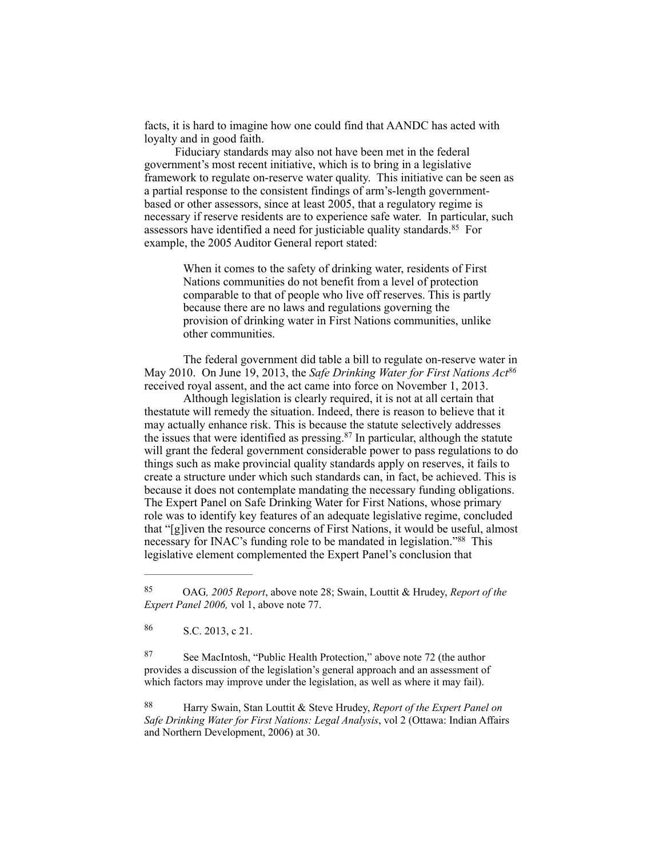facts, it is hard to imagine how one could find that AANDC has acted with loyalty and in good faith.

Fiduciary standards may also not have been met in the federal government's most recent initiative, which is to bring in a legislative framework to regulate on-reserve water quality. This initiative can be seen as a partial response to the consistent findings of arm's-length governmentbased or other assessors, since at least 2005, that a regulatory regime is necessary if reserve residents are to experience safe water. In particular, such assessors have identified a need for justiciable quality standards.  $85$  For example, the 2005 Auditor General report stated:

> When it comes to the safety of drinking water, residents of First Nations communities do not benefit from a level of protection comparable to that of people who live off reserves. This is partly because there are no laws and regulations governing the provision of drinking water in First Nations communities, unlike other communities.

The federal government did table a bill to regulate on-reserve water in May 2010. On June 19, 2013, the *Safe Drinking Water for First Nations Act86* received royal assent, and the act came into force on November 1, 2013.

Although legislation is clearly required, it is not at all certain that thestatute will remedy the situation. Indeed, there is reason to believe that it may actually enhance risk. This is because the statute selectively addresses the issues that were identified as pressing. $87$  In particular, although the statute will grant the federal government considerable power to pass regulations to do things such as make provincial quality standards apply on reserves, it fails to create a structure under which such standards can, in fact, be achieved. This is because it does not contemplate mandating the necessary funding obligations. The Expert Panel on Safe Drinking Water for First Nations, whose primary role was to identify key features of an adequate legislative regime, concluded that "[g]iven the resource concerns of First Nations, it would be useful, almost necessary for INAC's funding role to be mandated in legislation."<sup>88</sup> This legislative element complemented the Expert Panel's conclusion that

 $86$  S.C. 2013, c 21.

87 See MacIntosh, "Public Health Protection," above note 72 (the author provides a discussion of the legislation's general approach and an assessment of which factors may improve under the legislation, as well as where it may fail).

 Harry Swain, Stan Louttit & Steve Hrudey, *Report of the Expert Panel on* <sup>88</sup> *Safe Drinking Water for First Nations: Legal Analysis*, vol 2 (Ottawa: Indian Affairs and Northern Development, 2006) at 30.

OAG*, 2005 Report*, above note 28; Swain, Louttit & Hrudey, *Report of the* <sup>85</sup> *Expert Panel 2006,* vol 1, above note 77.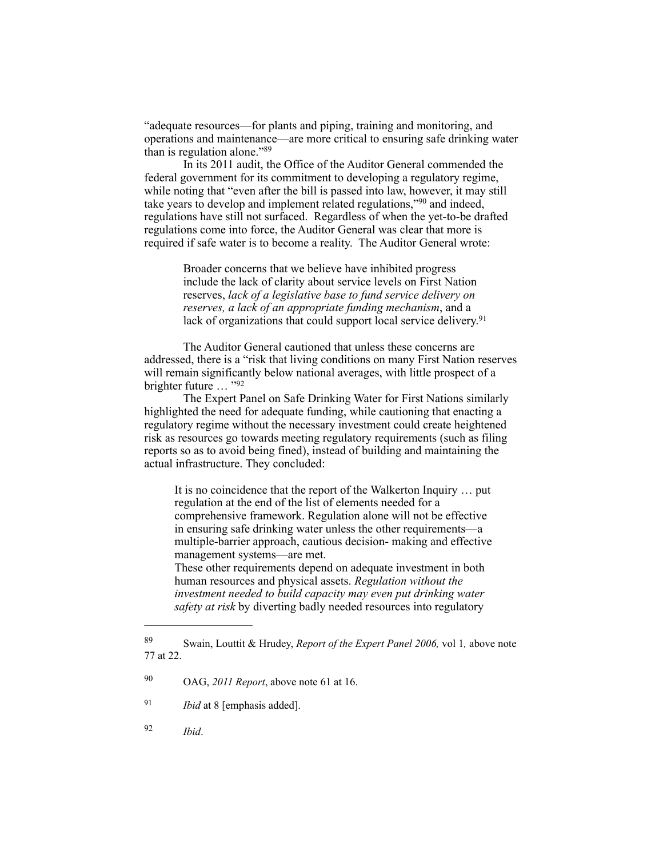"adequate resources—for plants and piping, training and monitoring, and operations and maintenance—are more critical to ensuring safe drinking water than is regulation alone." $89$ 

In its 2011 audit, the Office of the Auditor General commended the federal government for its commitment to developing a regulatory regime, while noting that "even after the bill is passed into law, however, it may still take years to develop and implement related regulations," $90$  and indeed, regulations have still not surfaced. Regardless of when the yet-to-be drafted regulations come into force, the Auditor General was clear that more is required if safe water is to become a reality. The Auditor General wrote:

> Broader concerns that we believe have inhibited progress include the lack of clarity about service levels on First Nation reserves, *lack of a legislative base to fund service delivery on reserves, a lack of an appropriate funding mechanism*, and a lack of organizations that could support local service delivery.<sup>91</sup>

The Auditor General cautioned that unless these concerns are addressed, there is a "risk that living conditions on many First Nation reserves will remain significantly below national averages, with little prospect of a brighter future … "92

The Expert Panel on Safe Drinking Water for First Nations similarly highlighted the need for adequate funding, while cautioning that enacting a regulatory regime without the necessary investment could create heightened risk as resources go towards meeting regulatory requirements (such as filing reports so as to avoid being fined), instead of building and maintaining the actual infrastructure. They concluded:

It is no coincidence that the report of the Walkerton Inquiry … put regulation at the end of the list of elements needed for a comprehensive framework. Regulation alone will not be effective in ensuring safe drinking water unless the other requirements—a multiple-barrier approach, cautious decision- making and effective management systems—are met.

These other requirements depend on adequate investment in both human resources and physical assets. *Regulation without the investment needed to build capacity may even put drinking water safety at risk* by diverting badly needed resources into regulatory

*Ibid*. <sup>92</sup>

Swain, Louttit & Hrudey, *Report of the Expert Panel 2006,* vol 1*,* above note 89 77 at 22.

<sup>&</sup>lt;sup>90</sup> OAG, *2011 Report*, above note 61 at 16.

<sup>&</sup>lt;sup>91</sup> *Ibid* at 8 [emphasis added].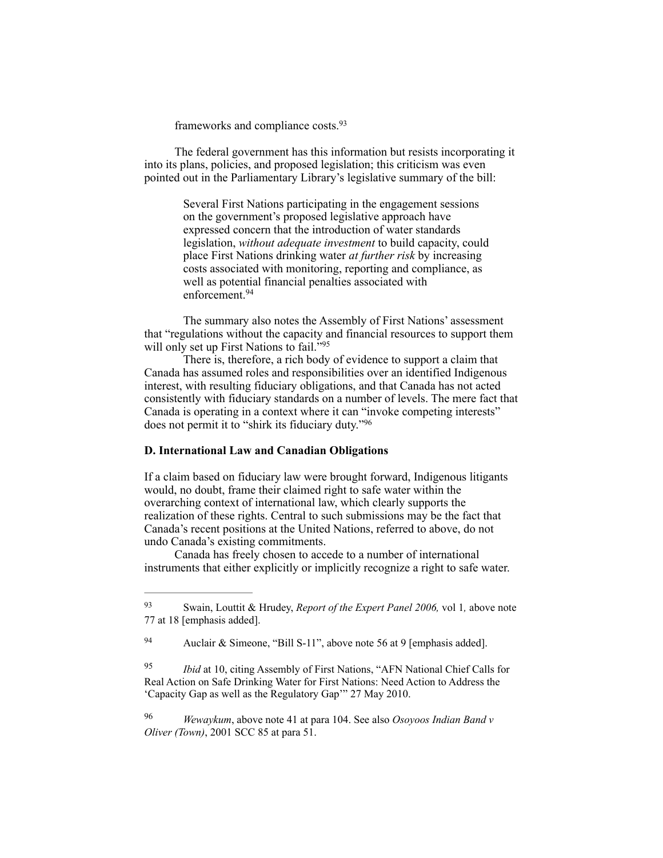frameworks and compliance costs. 93

The federal government has this information but resists incorporating it into its plans, policies, and proposed legislation; this criticism was even pointed out in the Parliamentary Library's legislative summary of the bill:

> Several First Nations participating in the engagement sessions on the government's proposed legislative approach have expressed concern that the introduction of water standards legislation, *without adequate investment* to build capacity, could place First Nations drinking water *at further risk* by increasing costs associated with monitoring, reporting and compliance, as well as potential financial penalties associated with enforcement. 94

The summary also notes the Assembly of First Nations' assessment that "regulations without the capacity and financial resources to support them will only set up First Nations to fail."95

There is, therefore, a rich body of evidence to support a claim that Canada has assumed roles and responsibilities over an identified Indigenous interest, with resulting fiduciary obligations, and that Canada has not acted consistently with fiduciary standards on a number of levels. The mere fact that Canada is operating in a context where it can "invoke competing interests" does not permit it to "shirk its fiduciary duty."<sup>96</sup>

## **D. International Law and Canadian Obligations**

If a claim based on fiduciary law were brought forward, Indigenous litigants would, no doubt, frame their claimed right to safe water within the overarching context of international law, which clearly supports the realization of these rights. Central to such submissions may be the fact that Canada's recent positions at the United Nations, referred to above, do not undo Canada's existing commitments.

 Canada has freely chosen to accede to a number of international instruments that either explicitly or implicitly recognize a right to safe water.

Swain, Louttit & Hrudey, *Report of the Expert Panel 2006,* vol 1*,* above note 93 77 at 18 [emphasis added].

<sup>&</sup>lt;sup>94</sup> Auclair & Simeone, "Bill S-11", above note 56 at 9 [emphasis added].

<sup>&</sup>lt;sup>95</sup> *Ibid* at 10, citing Assembly of First Nations, "AFN National Chief Calls for Real Action on Safe Drinking Water for First Nations: Need Action to Address the 'Capacity Gap as well as the Regulatory Gap'" 27 May 2010.

*Wewaykum*, above note 41 at para 104. See also *Osoyoos Indian Band v* <sup>96</sup> *Oliver (Town)*, 2001 SCC 85 at para 51.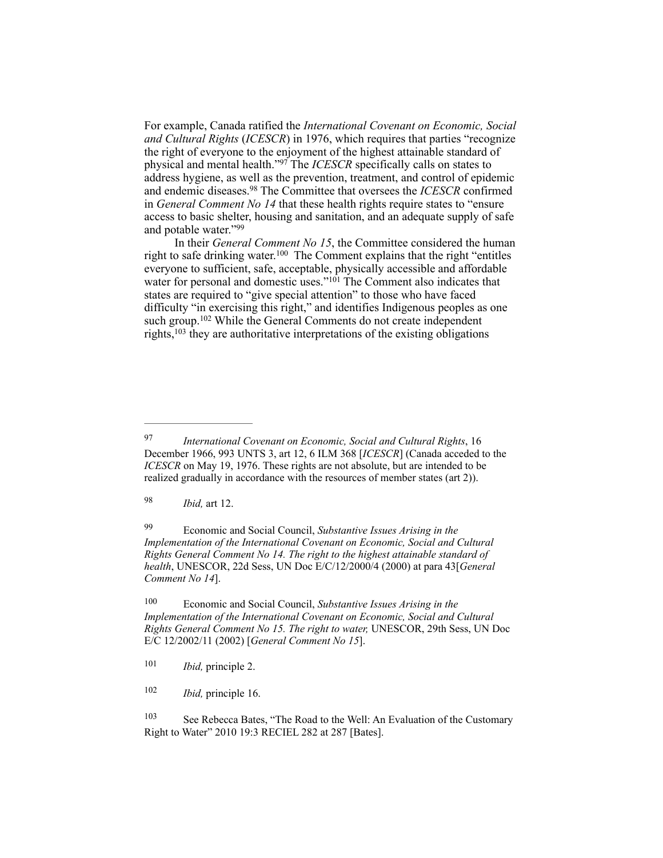For example, Canada ratified the *International Covenant on Economic, Social and Cultural Rights* (*ICESCR*) in 1976, which requires that parties "recognize the right of everyone to the enjoyment of the highest attainable standard of physical and mental health."<sup>97</sup> The *ICESCR* specifically calls on states to address hygiene, as well as the prevention, treatment, and control of epidemic and endemic diseases.<sup>98</sup> The Committee that oversees the *ICESCR* confirmed in *General Comment No 14* that these health rights require states to "ensure access to basic shelter, housing and sanitation, and an adequate supply of safe and potable water."99

 In their *General Comment No 15*, the Committee considered the human right to safe drinking water.<sup>100</sup> The Comment explains that the right "entitles everyone to sufficient, safe, acceptable, physically accessible and affordable water for personal and domestic uses."<sup>101</sup> The Comment also indicates that states are required to "give special attention" to those who have faced difficulty "in exercising this right," and identifies Indigenous peoples as one such group.<sup>102</sup> While the General Comments do not create independent rights,  $103$  they are authoritative interpretations of the existing obligations

*Ibid,* art 12. <sup>98</sup>

 Economic and Social Council, *Substantive Issues Arising in the* <sup>99</sup> *Implementation of the International Covenant on Economic, Social and Cultural Rights General Comment No 14. The right to the highest attainable standard of health*, UNESCOR, 22d Sess, UN Doc E/C/12/2000/4 (2000) at para 43[*General Comment No 14*].

<sup>100</sup> Economic and Social Council, *Substantive Issues Arising in the Implementation of the International Covenant on Economic, Social and Cultural Rights General Comment No 15. The right to water,* UNESCOR, 29th Sess, UN Doc E/C 12/2002/11 (2002) [*General Comment No 15*].

<sup>101</sup> *Ibid, principle 2.* 

<sup>102</sup> *Ibid, principle 16.* 

<sup>103</sup> See Rebecca Bates, "The Road to the Well: An Evaluation of the Customary Right to Water" 2010 19:3 RECIEL 282 at 287 [Bates].

*International Covenant on Economic, Social and Cultural Rights*, 16 97 December 1966, 993 UNTS 3, art 12, 6 ILM 368 [*ICESCR*] (Canada acceded to the *ICESCR* on May 19, 1976. These rights are not absolute, but are intended to be realized gradually in accordance with the resources of member states (art 2)).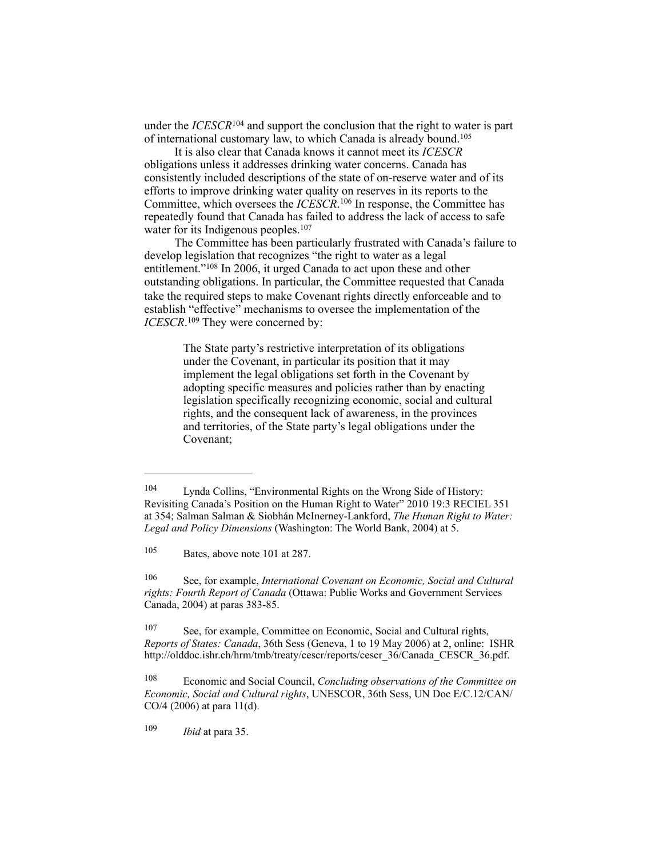under the *ICESCR*<sup>104</sup> and support the conclusion that the right to water is part of international customary law, to which Canada is already bound.105

 It is also clear that Canada knows it cannot meet its *ICESCR* obligations unless it addresses drinking water concerns. Canada has consistently included descriptions of the state of on-reserve water and of its efforts to improve drinking water quality on reserves in its reports to the Committee, which oversees the *ICESCR*.<sup>106</sup> In response, the Committee has repeatedly found that Canada has failed to address the lack of access to safe water for its Indigenous peoples.<sup>107</sup>

 The Committee has been particularly frustrated with Canada's failure to develop legislation that recognizes "the right to water as a legal entitlement." $108$  In 2006, it urged Canada to act upon these and other outstanding obligations. In particular, the Committee requested that Canada take the required steps to make Covenant rights directly enforceable and to establish "effective" mechanisms to oversee the implementation of the *ICESCR*.<sup>109</sup> They were concerned by:

> The State party's restrictive interpretation of its obligations under the Covenant, in particular its position that it may implement the legal obligations set forth in the Covenant by adopting specific measures and policies rather than by enacting legislation specifically recognizing economic, social and cultural rights, and the consequent lack of awareness, in the provinces and territories, of the State party's legal obligations under the Covenant;

Lynda Collins, "Environmental Rights on the Wrong Side of History: 104 Revisiting Canada's Position on the Human Right to Water" 2010 19:3 RECIEL 351 at 354; Salman Salman & Siobhán McInerney-Lankford, *The Human Right to Water: Legal and Policy Dimensions* (Washington: The World Bank, 2004) at 5.

 $105$  Bates, above note 101 at 287.

See, for example, *International Covenant on Economic, Social and Cultural* <sup>106</sup> *rights: Fourth Report of Canada* (Ottawa: Public Works and Government Services Canada, 2004) at paras 383-85.

See, for example, Committee on Economic, Social and Cultural rights, 107 *Reports of States: Canada*, 36th Sess (Geneva, 1 to 19 May 2006) at 2, online: ISHR [http://olddoc.ishr.ch/hrm/tmb/treaty/cescr/reports/cescr\\_36/Canada\\_CESCR\\_36.pdf](http://olddoc.ishr.ch/hrm/tmb/treaty/cescr/reports/cescr_36/canada_cescr_36.pdf).

Economic and Social Council, *Concluding observations of the Committee on* <sup>108</sup> *Economic, Social and Cultural rights*, UNESCOR, 36th Sess, UN Doc E/C.12/CAN/ CO/4 (2006) at para 11(d).

<sup>&</sup>lt;sup>109</sup> *Ibid* at para 35.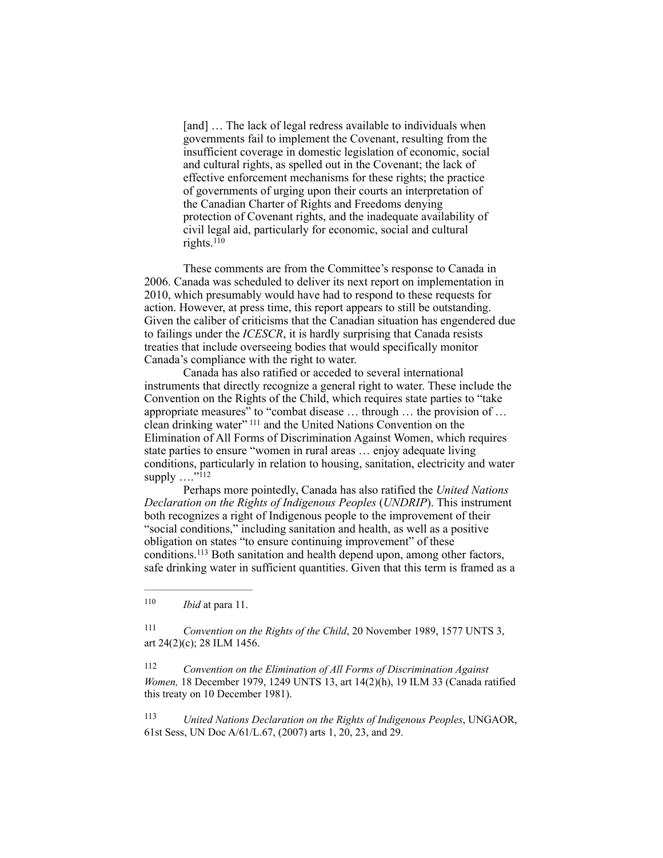[and] ... The lack of legal redress available to individuals when governments fail to implement the Covenant, resulting from the insufficient coverage in domestic legislation of economic, social and cultural rights, as spelled out in the Covenant; the lack of effective enforcement mechanisms for these rights; the practice of governments of urging upon their courts an interpretation of the Canadian Charter of Rights and Freedoms denying protection of Covenant rights, and the inadequate availability of civil legal aid, particularly for economic, social and cultural rights. $110$ 

These comments are from the Committee's response to Canada in 2006. Canada was scheduled to deliver its next report on implementation in 2010, which presumably would have had to respond to these requests for action. However, at press time, this report appears to still be outstanding. Given the caliber of criticisms that the Canadian situation has engendered due to failings under the *ICESCR*, it is hardly surprising that Canada resists treaties that include overseeing bodies that would specifically monitor Canada's compliance with the right to water.

Canada has also ratified or acceded to several international instruments that directly recognize a general right to water. These include the Convention on the Rights of the Child, which requires state parties to "take appropriate measures" to "combat disease … through … the provision of … clean drinking water" <sup>111</sup> and the United Nations Convention on the Elimination of All Forms of Discrimination Against Women, which requires state parties to ensure "women in rural areas … enjoy adequate living conditions, particularly in relation to housing, sanitation, electricity and water supply  $\ldots$ <sup>"112</sup>

Perhaps more pointedly, Canada has also ratified the *United Nations Declaration on the Rights of Indigenous Peoples* (*UNDRIP*). This instrument both recognizes a right of Indigenous people to the improvement of their "social conditions," including sanitation and health, as well as a positive obligation on states "to ensure continuing improvement" of these conditions.<sup>113</sup> Both sanitation and health depend upon, among other factors, safe drinking water in sufficient quantities. Given that this term is framed as a

 $110$  *Ibid* at para 11.

<sup>111</sup> Convention on the Rights of the Child, 20 November 1989, 1577 UNTS 3, art 24(2)(c); 28 ILM 1456.

 *Convention on the Elimination of All Forms of Discrimination Against* <sup>112</sup> *Women,* 18 December 1979, 1249 UNTS 13, art 14(2)(h), 19 ILM 33 (Canada ratified this treaty on 10 December 1981).

 *United Nations Declaration on the Rights of Indigenous Peoples*, UNGAOR, 113 61st Sess, UN Doc A/61/L.67, (2007) arts 1, 20, 23, and 29.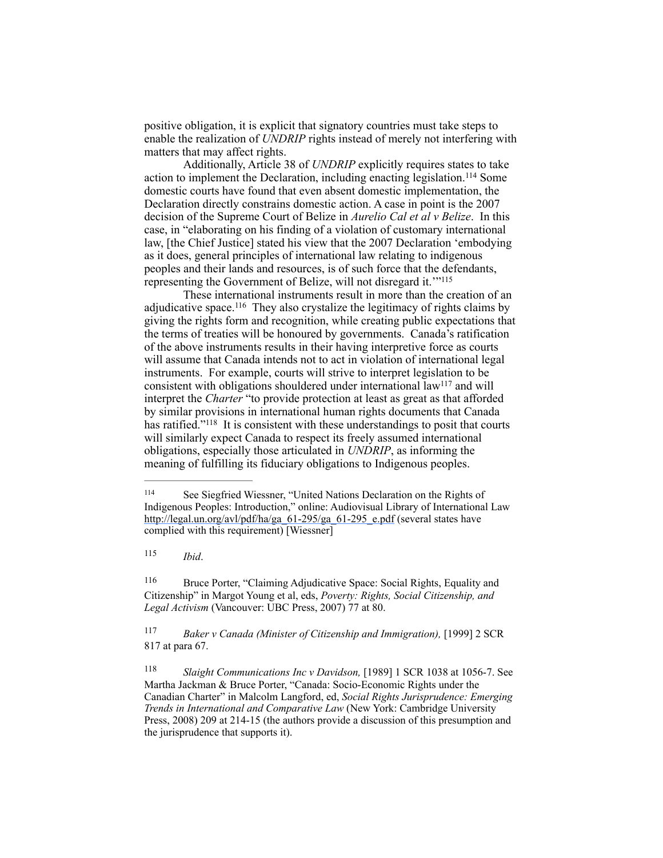positive obligation, it is explicit that signatory countries must take steps to enable the realization of *UNDRIP* rights instead of merely not interfering with matters that may affect rights.

Additionally, Article 38 of *UNDRIP* explicitly requires states to take action to implement the Declaration, including enacting legislation.<sup>114</sup> Some domestic courts have found that even absent domestic implementation, the Declaration directly constrains domestic action. A case in point is the 2007 decision of the Supreme Court of Belize in *Aurelio Cal et al v Belize*. In this case, in "elaborating on his finding of a violation of customary international law, [the Chief Justice] stated his view that the 2007 Declaration 'embodying as it does, general principles of international law relating to indigenous peoples and their lands and resources, is of such force that the defendants, representing the Government of Belize, will not disregard it.'"115

These international instruments result in more than the creation of an adjudicative space.<sup>116</sup> They also crystalize the legitimacy of rights claims by giving the rights form and recognition, while creating public expectations that the terms of treaties will be honoured by governments. Canada's ratification of the above instruments results in their having interpretive force as courts will assume that Canada intends not to act in violation of international legal instruments. For example, courts will strive to interpret legislation to be consistent with obligations shouldered under international  $\bar{I}aw^{117}$  and will interpret the *Charter* "to provide protection at least as great as that afforded by similar provisions in international human rights documents that Canada has ratified."<sup>118</sup> It is consistent with these understandings to posit that courts will similarly expect Canada to respect its freely assumed international obligations, especially those articulated in *UNDRIP*, as informing the meaning of fulfilling its fiduciary obligations to Indigenous peoples.

*Ibid*. <sup>115</sup>

 Bruce Porter, "Claiming Adjudicative Space: Social Rights, Equality and 116 Citizenship" in Margot Young et al, eds, *Poverty: Rights, Social Citizenship, and Legal Activism* (Vancouver: UBC Press, 2007) 77 at 80.

<sup>117</sup> *Baker v Canada (Minister of Citizenship and Immigration),* [1999] 2 SCR 817 at para 67.

<sup>&</sup>lt;sup>114</sup> See Siegfried Wiessner, "United Nations Declaration on the Rights of Indigenous Peoples: Introduction," online: Audiovisual Library of International Law [http://legal.un.org/avl/pdf/ha/ga\\_61-295/ga\\_61-295\\_e.pdf](http://legal.un.org/avl/pdf/ha/ga_61-295/ga_61-295_e.pdf) (several states have complied with this requirement) [Wiessner]

<sup>&</sup>lt;sup>118</sup> Slaight Communications Inc v Davidson, [1989] 1 SCR 1038 at 1056-7. See Martha Jackman & Bruce Porter, "Canada: Socio-Economic Rights under the Canadian Charter" in Malcolm Langford, ed, *Social Rights Jurisprudence: Emerging Trends in International and Comparative Law* (New York: Cambridge University Press, 2008) 209 at 214-15 (the authors provide a discussion of this presumption and the jurisprudence that supports it).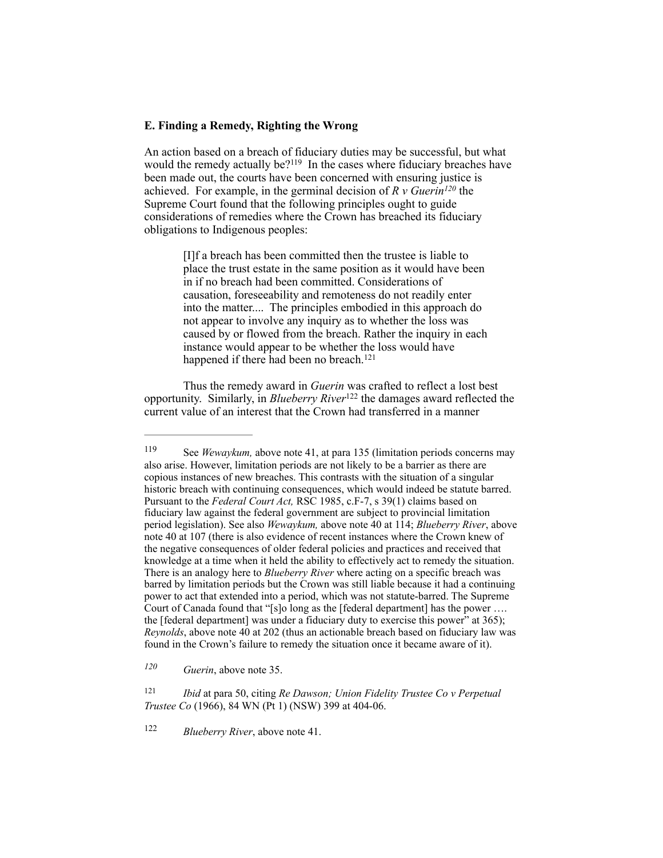## **E. Finding a Remedy, Righting the Wrong**

An action based on a breach of fiduciary duties may be successful, but what would the remedy actually be? $119$  In the cases where fiduciary breaches have been made out, the courts have been concerned with ensuring justice is achieved. For example, in the germinal decision of  $R v$  Guerin<sup>120</sup> the Supreme Court found that the following principles ought to guide considerations of remedies where the Crown has breached its fiduciary obligations to Indigenous peoples:

> [I]f a breach has been committed then the trustee is liable to place the trust estate in the same position as it would have been in if no breach had been committed. Considerations of causation, foreseeability and remoteness do not readily enter into the matter.... The principles embodied in this approach do not appear to involve any inquiry as to whether the loss was caused by or flowed from the breach. Rather the inquiry in each instance would appear to be whether the loss would have happened if there had been no breach.<sup>121</sup>

Thus the remedy award in *Guerin* was crafted to reflect a lost best opportunity. Similarly, in *Blueberry River*<sup>122</sup> the damages award reflected the current value of an interest that the Crown had transferred in a manner

*Guerin*, above note 35. *<sup>120</sup>*

 *Ibid* at para 50, citing *Re Dawson; Union Fidelity Trustee Co v Perpetual* <sup>121</sup> *Trustee Co* (1966), 84 WN (Pt 1) (NSW) 399 at 404-06.

<sup>122</sup> *Blueberry River*, above note 41.

<sup>119</sup> See *Wewaykum*, above note 41, at para 135 (limitation periods concerns may also arise. However, limitation periods are not likely to be a barrier as there are copious instances of new breaches. This contrasts with the situation of a singular historic breach with continuing consequences, which would indeed be statute barred. Pursuant to the *Federal Court Act,* RSC 1985, c.F-7, s 39(1) claims based on fiduciary law against the federal government are subject to provincial limitation period legislation). See also *Wewaykum,* above note 40 at 114; *Blueberry River*, above note 40 at 107 (there is also evidence of recent instances where the Crown knew of the negative consequences of older federal policies and practices and received that knowledge at a time when it held the ability to effectively act to remedy the situation. There is an analogy here to *Blueberry River* where acting on a specific breach was barred by limitation periods but the Crown was still liable because it had a continuing power to act that extended into a period, which was not statute-barred. The Supreme Court of Canada found that "[s]o long as the [federal department] has the power …. the [federal department] was under a fiduciary duty to exercise this power" at 365); *Reynolds*, above note 40 at 202 (thus an actionable breach based on fiduciary law was found in the Crown's failure to remedy the situation once it became aware of it).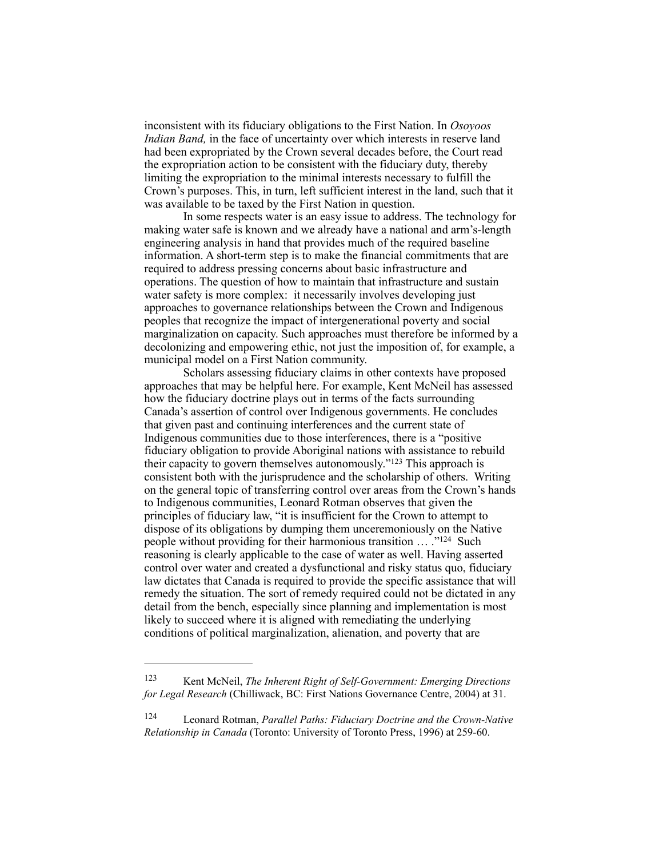inconsistent with its fiduciary obligations to the First Nation. In *Osoyoos Indian Band,* in the face of uncertainty over which interests in reserve land had been expropriated by the Crown several decades before, the Court read the expropriation action to be consistent with the fiduciary duty, thereby limiting the expropriation to the minimal interests necessary to fulfill the Crown's purposes. This, in turn, left sufficient interest in the land, such that it was available to be taxed by the First Nation in question.

In some respects water is an easy issue to address. The technology for making water safe is known and we already have a national and arm's-length engineering analysis in hand that provides much of the required baseline information. A short-term step is to make the financial commitments that are required to address pressing concerns about basic infrastructure and operations. The question of how to maintain that infrastructure and sustain water safety is more complex: it necessarily involves developing just approaches to governance relationships between the Crown and Indigenous peoples that recognize the impact of intergenerational poverty and social marginalization on capacity. Such approaches must therefore be informed by a decolonizing and empowering ethic, not just the imposition of, for example, a municipal model on a First Nation community.

Scholars assessing fiduciary claims in other contexts have proposed approaches that may be helpful here. For example, Kent McNeil has assessed how the fiduciary doctrine plays out in terms of the facts surrounding Canada's assertion of control over Indigenous governments. He concludes that given past and continuing interferences and the current state of Indigenous communities due to those interferences, there is a "positive fiduciary obligation to provide Aboriginal nations with assistance to rebuild their capacity to govern themselves autonomously."<sup>123</sup> This approach is consistent both with the jurisprudence and the scholarship of others. Writing on the general topic of transferring control over areas from the Crown's hands to Indigenous communities, Leonard Rotman observes that given the principles of fiduciary law, "it is insufficient for the Crown to attempt to dispose of its obligations by dumping them unceremoniously on the Native people without providing for their harmonious transition  $\ldots$  ."<sup>124</sup> Such reasoning is clearly applicable to the case of water as well. Having asserted control over water and created a dysfunctional and risky status quo, fiduciary law dictates that Canada is required to provide the specific assistance that will remedy the situation. The sort of remedy required could not be dictated in any detail from the bench, especially since planning and implementation is most likely to succeed where it is aligned with remediating the underlying conditions of political marginalization, alienation, and poverty that are

Kent McNeil, *The Inherent Right of Self-Government: Emerging Directions* <sup>123</sup> *for Legal Research* (Chilliwack, BC: First Nations Governance Centre, 2004) at 31.

Leonard Rotman, *Parallel Paths: Fiduciary Doctrine and the Crown-Native* <sup>124</sup> *Relationship in Canada* (Toronto: University of Toronto Press, 1996) at 259-60.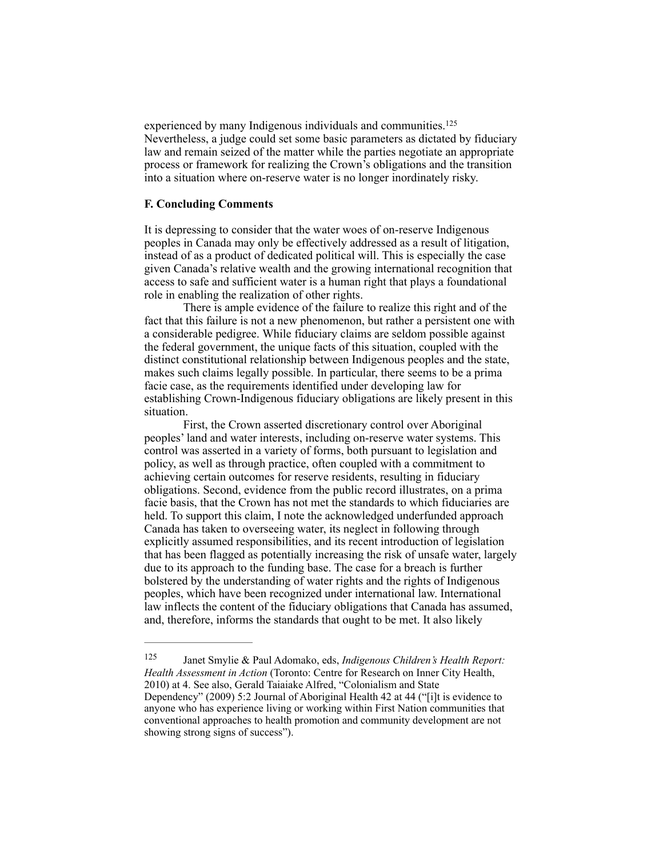experienced by many Indigenous individuals and communities.<sup>125</sup> Nevertheless, a judge could set some basic parameters as dictated by fiduciary law and remain seized of the matter while the parties negotiate an appropriate process or framework for realizing the Crown's obligations and the transition into a situation where on-reserve water is no longer inordinately risky.

## **F. Concluding Comments**

It is depressing to consider that the water woes of on-reserve Indigenous peoples in Canada may only be effectively addressed as a result of litigation, instead of as a product of dedicated political will. This is especially the case given Canada's relative wealth and the growing international recognition that access to safe and sufficient water is a human right that plays a foundational role in enabling the realization of other rights.

There is ample evidence of the failure to realize this right and of the fact that this failure is not a new phenomenon, but rather a persistent one with a considerable pedigree. While fiduciary claims are seldom possible against the federal government, the unique facts of this situation, coupled with the distinct constitutional relationship between Indigenous peoples and the state, makes such claims legally possible. In particular, there seems to be a prima facie case, as the requirements identified under developing law for establishing Crown-Indigenous fiduciary obligations are likely present in this situation.

First, the Crown asserted discretionary control over Aboriginal peoples' land and water interests, including on-reserve water systems. This control was asserted in a variety of forms, both pursuant to legislation and policy, as well as through practice, often coupled with a commitment to achieving certain outcomes for reserve residents, resulting in fiduciary obligations. Second, evidence from the public record illustrates, on a prima facie basis, that the Crown has not met the standards to which fiduciaries are held. To support this claim, I note the acknowledged underfunded approach Canada has taken to overseeing water, its neglect in following through explicitly assumed responsibilities, and its recent introduction of legislation that has been flagged as potentially increasing the risk of unsafe water, largely due to its approach to the funding base. The case for a breach is further bolstered by the understanding of water rights and the rights of Indigenous peoples, which have been recognized under international law. International law inflects the content of the fiduciary obligations that Canada has assumed, and, therefore, informs the standards that ought to be met. It also likely

 Janet Smylie & Paul Adomako, eds, *Indigenous Children's Health Report:* <sup>125</sup> *Health Assessment in Action* (Toronto: Centre for Research on Inner City Health, 2010) at 4. See also, Gerald Taiaiake Alfred, "Colonialism and State Dependency" (2009) 5:2 Journal of Aboriginal Health 42 at 44 ("[i]t is evidence to anyone who has experience living or working within First Nation communities that conventional approaches to health promotion and community development are not showing strong signs of success").